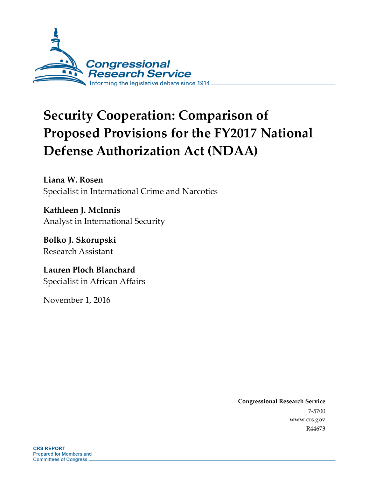

# **Security Cooperation: Comparison of Proposed Provisions for the FY2017 National Defense Authorization Act (NDAA)**

**Liana W. Rosen** Specialist in International Crime and Narcotics

**Kathleen J. McInnis** Analyst in International Security

**Bolko J. Skorupski** Research Assistant

**Lauren Ploch Blanchard** Specialist in African Affairs

November 1, 2016

**Congressional Research Service** 7-5700 www.crs.gov R44673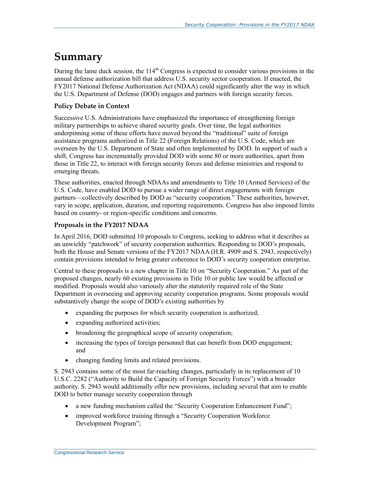## **Summary**

During the lame duck session, the  $114<sup>th</sup>$  Congress is expected to consider various provisions in the annual defense authorization bill that address U.S. security sector cooperation. If enacted, the FY2017 National Defense Authorization Act (NDAA) could significantly alter the way in which the U.S. Department of Defense (DOD) engages and partners with foreign security forces.

#### **Policy Debate in Context**

Successive U.S. Administrations have emphasized the importance of strengthening foreign military partnerships to achieve shared security goals. Over time, the legal authorities underpinning some of these efforts have moved beyond the "traditional" suite of foreign assistance programs authorized in Title 22 (Foreign Relations) of the U.S. Code, which are overseen by the U.S. Department of State and often implemented by DOD. In support of such a shift, Congress has incrementally provided DOD with some 80 or more authorities, apart from those in Title 22, to interact with foreign security forces and defense ministries and respond to emerging threats.

These authorities, enacted through NDAAs and amendments to Title 10 (Armed Services) of the U.S. Code, have enabled DOD to pursue a wider range of direct engagements with foreign partners—collectively described by DOD as "security cooperation." These authorities, however, vary in scope, application, duration, and reporting requirements. Congress has also imposed limits based on country- or region-specific conditions and concerns.

#### **Proposals in the FY2017 NDAA**

In April 2016, DOD submitted 10 proposals to Congress, seeking to address what it describes as an unwieldy "patchwork" of security cooperation authorities. Responding to DOD's proposals, both the House and Senate versions of the FY2017 NDAA (H.R. 4909 and S. 2943, respectively) contain provisions intended to bring greater coherence to DOD's security cooperation enterprise.

Central to these proposals is a new chapter in Title 10 on "Security Cooperation." As part of the proposed changes, nearly 60 existing provisions in Title 10 or public law would be affected or modified. Proposals would also variously alter the statutorily required role of the State Department in overseeing and approving security cooperation programs. Some proposals would substantively change the scope of DOD's existing authorities by

- expanding the purposes for which security cooperation is authorized;
- expanding authorized activities;
- broadening the geographical scope of security cooperation;
- increasing the types of foreign personnel that can benefit from DOD engagement; and
- changing funding limits and related provisions.

S. 2943 contains some of the most far-reaching changes, particularly in its replacement of 10 U.S.C. 2282 ("Authority to Build the Capacity of Foreign Security Forces") with a broader authority. S. 2943 would additionally offer new provisions, including several that aim to enable DOD to better manage security cooperation through

- a new funding mechanism called the "Security Cooperation Enhancement Fund";
- improved workforce training through a "Security Cooperation Workforce" Development Program";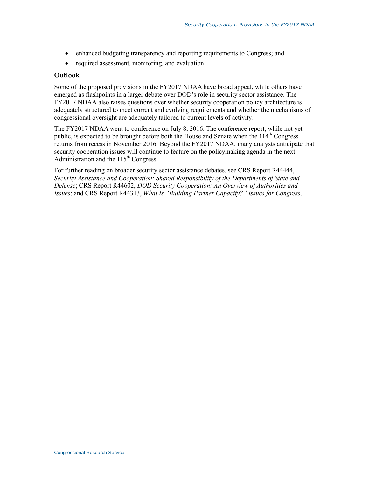- enhanced budgeting transparency and reporting requirements to Congress; and
- required assessment, monitoring, and evaluation.

#### **Outlook**

Some of the proposed provisions in the FY2017 NDAA have broad appeal, while others have emerged as flashpoints in a larger debate over DOD's role in security sector assistance. The FY2017 NDAA also raises questions over whether security cooperation policy architecture is adequately structured to meet current and evolving requirements and whether the mechanisms of congressional oversight are adequately tailored to current levels of activity.

The FY2017 NDAA went to conference on July 8, 2016. The conference report, while not yet public, is expected to be brought before both the House and Senate when the  $114<sup>th</sup>$  Congress returns from recess in November 2016. Beyond the FY2017 NDAA, many analysts anticipate that security cooperation issues will continue to feature on the policymaking agenda in the next Administration and the  $115<sup>th</sup>$  Congress.

For further reading on broader security sector assistance debates, see CRS Report R44444, *Security Assistance and Cooperation: Shared Responsibility of the Departments of State and Defense*; CRS Report R44602, *DOD Security Cooperation: An Overview of Authorities and Issues*; and CRS Report R44313, *What Is "Building Partner Capacity?" Issues for Congress*.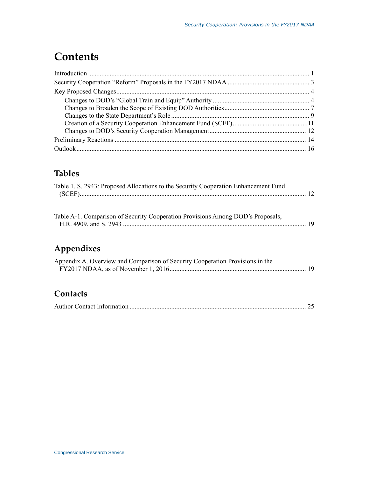## **Contents**

## **Tables**

| Table 1. S. 2943: Proposed Allocations to the Security Cooperation Enhancement Fund |  |
|-------------------------------------------------------------------------------------|--|
|                                                                                     |  |

| Table A-1. Comparison of Security Cooperation Provisions Among DOD's Proposals, |  |
|---------------------------------------------------------------------------------|--|
|                                                                                 |  |

## **Appendixes**

| Appendix A. Overview and Comparison of Security Cooperation Provisions in the |  |
|-------------------------------------------------------------------------------|--|
|                                                                               |  |

## **Contacts**

|--|--|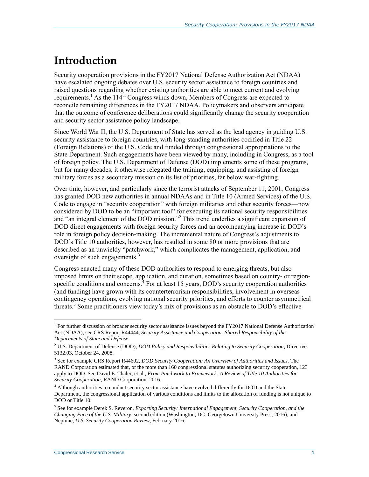## **Introduction**

Security cooperation provisions in the FY2017 National Defense Authorization Act (NDAA) have escalated ongoing debates over U.S. security sector assistance to foreign countries and raised questions regarding whether existing authorities are able to meet current and evolving requirements.<sup>1</sup> As the  $114<sup>th</sup>$  Congress winds down, Members of Congress are expected to reconcile remaining differences in the FY2017 NDAA. Policymakers and observers anticipate that the outcome of conference deliberations could significantly change the security cooperation and security sector assistance policy landscape.

Since World War II, the U.S. Department of State has served as the lead agency in guiding U.S. security assistance to foreign countries, with long-standing authorities codified in Title 22 (Foreign Relations) of the U.S. Code and funded through congressional appropriations to the State Department. Such engagements have been viewed by many, including in Congress, as a tool of foreign policy. The U.S. Department of Defense (DOD) implements some of these programs, but for many decades, it otherwise relegated the training, equipping, and assisting of foreign military forces as a secondary mission on its list of priorities, far below war-fighting.

Over time, however, and particularly since the terrorist attacks of September 11, 2001, Congress has granted DOD new authorities in annual NDAAs and in Title 10 (Armed Services) of the U.S. Code to engage in "security cooperation" with foreign militaries and other security forces—now considered by DOD to be an "important tool" for executing its national security responsibilities and "an integral element of the DOD mission."<sup>2</sup> This trend underlies a significant expansion of DOD direct engagements with foreign security forces and an accompanying increase in DOD's role in foreign policy decision-making. The incremental nature of Congress's adjustments to DOD's Title 10 authorities, however, has resulted in some 80 or more provisions that are described as an unwieldy "patchwork," which complicates the management, application, and oversight of such engagements.<sup>3</sup>

Congress enacted many of these DOD authorities to respond to emerging threats, but also imposed limits on their scope, application, and duration, sometimes based on country- or regionspecific conditions and concerns.<sup>4</sup> For at least 15 years, DOD's security cooperation authorities (and funding) have grown with its counterterrorism responsibilities, involvement in overseas contingency operations, evolving national security priorities, and efforts to counter asymmetrical threats.<sup>5</sup> Some practitioners view today's mix of provisions as an obstacle to DOD's effective

<sup>&</sup>lt;sup>1</sup> For further discussion of broader security sector assistance issues beyond the FY2017 National Defense Authorization Act (NDAA), see CRS Report R44444, *Security Assistance and Cooperation: Shared Responsibility of the Departments of State and Defense*.

<sup>2</sup> U.S. Department of Defense (DOD), *DOD Policy and Responsibilities Relating to Security Cooperation*, Directive 5132.03, October 24, 2008.

<sup>3</sup> See for example CRS Report R44602, *DOD Security Cooperation: An Overview of Authorities and Issues*. The RAND Corporation estimated that, of the more than 160 congressional statutes authorizing security cooperation, 123 apply to DOD. See David E. Thaler, et al., *From Patchwork to Framework: A Review of Title 10 Authorities for Security Cooperation*, RAND Corporation, 2016.

<sup>&</sup>lt;sup>4</sup> Although authorities to conduct security sector assistance have evolved differently for DOD and the State Department, the congressional application of various conditions and limits to the allocation of funding is not unique to DOD or Title 10.

<sup>5</sup> See for example Derek S. Reveron, *Exporting Security: International Engagement, Security Cooperation, and the Changing Face of the U.S. Military*, second edition (Washington, DC: Georgetown University Press, 2016); and Neptune, *U.S. Security Cooperation Review*, February 2016.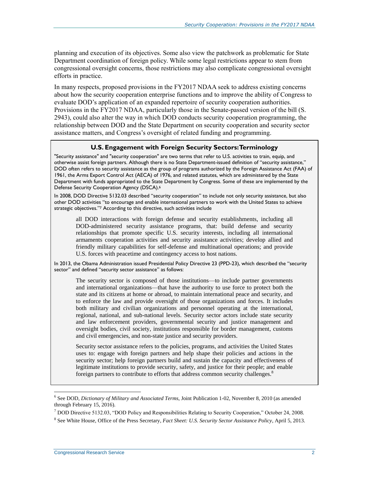planning and execution of its objectives. Some also view the patchwork as problematic for State Department coordination of foreign policy. While some legal restrictions appear to stem from congressional oversight concerns, those restrictions may also complicate congressional oversight efforts in practice.

In many respects, proposed provisions in the FY2017 NDAA seek to address existing concerns about how the security cooperation enterprise functions and to improve the ability of Congress to evaluate DOD's application of an expanded repertoire of security cooperation authorities. Provisions in the FY2017 NDAA, particularly those in the Senate-passed version of the bill (S. 2943), could also alter the way in which DOD conducts security cooperation programming, the relationship between DOD and the State Department on security cooperation and security sector assistance matters, and Congress's oversight of related funding and programming.

#### **U.S. Engagement with Foreign Security Sectors: Terminology**

"Security assistance" and "security cooperation" are two terms that refer to U.S. activities to train, equip, and otherwise assist foreign partners. Although there is no State Department-issued definition of "security assistance," DOD often refers to security assistance as the group of programs authorized by the Foreign Assistance Act (FAA) of 1961, the Arms Export Control Act (AECA) of 1976, and related statutes, which are administered by the State Department with funds appropriated to the State Department by Congress. Some of these are implemented by the Defense Security Cooperation Agency (DSCA). 6

In 2008, DOD Directive 5132.03 described "security cooperation" to include not only security assistance, but also other DOD activities "to encourage and enable international partners to work with the United States to achieve strategic objectives."<sup>7</sup> According to this directive, such activities include

all DOD interactions with foreign defense and security establishments, including all DOD-administered security assistance programs, that: build defense and security relationships that promote specific U.S. security interests, including all international armaments cooperation activities and security assistance activities; develop allied and friendly military capabilities for self-defense and multinational operations; and provide U.S. forces with peacetime and contingency access to host nations.

In 2013, the Obama Administration issued Presidential Policy Directive 23 (PPD-23), which described the "security sector" and defined "security sector assistance" as follows:

The security sector is composed of those institutions—to include partner governments and international organizations—that have the authority to use force to protect both the state and its citizens at home or abroad, to maintain international peace and security, and to enforce the law and provide oversight of those organizations and forces. It includes both military and civilian organizations and personnel operating at the international, regional, national, and sub-national levels. Security sector actors include state security and law enforcement providers, governmental security and justice management and oversight bodies, civil society, institutions responsible for border management, customs and civil emergencies, and non-state justice and security providers.

Security sector assistance refers to the policies, programs, and activities the United States uses to: engage with foreign partners and help shape their policies and actions in the security sector; help foreign partners build and sustain the capacity and effectiveness of legitimate institutions to provide security, safety, and justice for their people; and enable foreign partners to contribute to efforts that address common security challenges.<sup>8</sup>

<sup>6</sup> See DOD, *Dictionary of Military and Associated Terms*, Joint Publication 1-02, November 8, 2010 (as amended through February 15, 2016).

<sup>7</sup> DOD Directive 5132.03, "DOD Policy and Responsibilities Relating to Security Cooperation," October 24, 2008.

<sup>8</sup> See White House, Office of the Press Secretary, *Fact Sheet: U.S. Security Sector Assistance Policy*, April 5, 2013.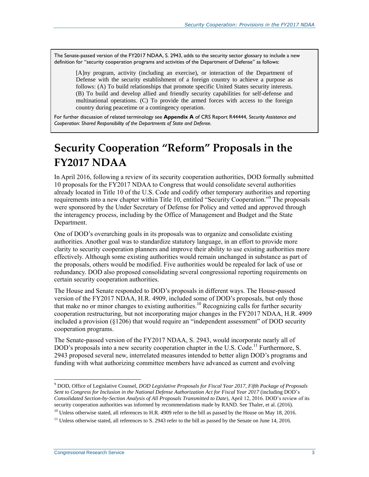The Senate-passed version of the FY2017 NDAA, [S. 2943,](http://www.congress.gov/cgi-lis/bdquery/z?d114:S.2943:) adds to the security sector glossary to include a new definition for "security cooperation programs and activities of the Department of Defense" as follows:

[A]ny program, activity (including an exercise), or interaction of the Department of Defense with the security establishment of a foreign country to achieve a purpose as follows: (A) To build relationships that promote specific United States security interests. (B) To build and develop allied and friendly security capabilities for self-defense and multinational operations. (C) To provide the armed forces with access to the foreign country during peacetime or a contingency operation.

For further discussion of related terminology see **Appendix A** of CRS Report R44444, *Security Assistance and Cooperation: Shared Responsibility of the Departments of State and Defense*.

## **Security Cooperation "Reform" Proposals in the FY2017 NDAA**

In April 2016, following a review of its security cooperation authorities, DOD formally submitted 10 proposals for the FY2017 NDAA to Congress that would consolidate several authorities already located in Title 10 of the U.S. Code and codify other temporary authorities and reporting requirements into a new chapter within Title 10, entitled "Security Cooperation."<sup>9</sup> The proposals were sponsored by the Under Secretary of Defense for Policy and vetted and approved through the interagency process, including by the Office of Management and Budget and the State Department.

One of DOD's overarching goals in its proposals was to organize and consolidate existing authorities. Another goal was to standardize statutory language, in an effort to provide more clarity to security cooperation planners and improve their ability to use existing authorities more effectively. Although some existing authorities would remain unchanged in substance as part of the proposals, others would be modified. Five authorities would be repealed for lack of use or redundancy. DOD also proposed consolidating several congressional reporting requirements on certain security cooperation authorities.

The House and Senate responded to DOD's proposals in different ways. The House-passed version of the FY2017 NDAA, [H.R. 4909,](http://www.congress.gov/cgi-lis/bdquery/z?d114:H.R.4909:) included some of DOD's proposals, but only those that make no or minor changes to existing authorities.<sup>10</sup> Recognizing calls for further security cooperation restructuring, but not incorporating major changes in the FY2017 NDAA, H.R. 4909 included a provision (§1206) that would require an "independent assessment" of DOD security cooperation programs.

The Senate-passed version of the FY2017 NDAA, [S. 2943,](http://www.congress.gov/cgi-lis/bdquery/z?d114:S.2943:) would incorporate nearly all of DOD's proposals into a new security cooperation chapter in the U.S. Code.<sup>11</sup> Furthermore, S. 2943 proposed several new, interrelated measures intended to better align DOD's programs and funding with what authorizing committee members have advanced as current and evolving

<sup>10</sup> Unless otherwise stated, all references to H.R. 4909 refer to the bill as passed by the House on May 18, 2016.

<sup>9</sup> DOD, Office of Legislative Counsel, *DOD Legislative Proposals for Fiscal Year 2017, Fifth Package of Proposals Sent to Congress for Inclusion in the National Defense Authorization Act for Fiscal Year 2017* (including DOD's *Consolidated Section-by-Section Analysis of All Proposals Transmitted to Date*), April 12, 2016. DOD's review of its security cooperation authorities was informed by recommendations made by RAND. See Thaler, et al. (2016).

 $11$  Unless otherwise stated, all references to S. 2943 refer to the bill as passed by the Senate on June 14, 2016.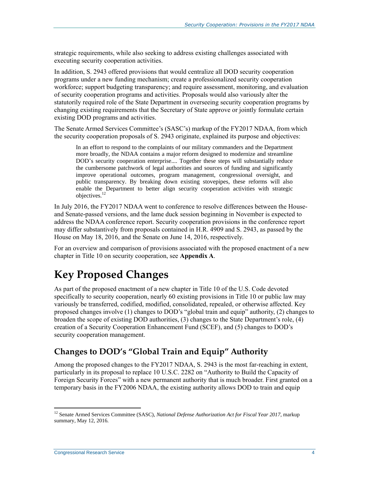strategic requirements, while also seeking to address existing challenges associated with executing security cooperation activities.

In addition, [S. 2943](http://www.congress.gov/cgi-lis/bdquery/z?d114:S.2943:) offered provisions that would centralize all DOD security cooperation programs under a new funding mechanism; create a professionalized security cooperation workforce; support budgeting transparency; and require assessment, monitoring, and evaluation of security cooperation programs and activities. Proposals would also variously alter the statutorily required role of the State Department in overseeing security cooperation programs by changing existing requirements that the Secretary of State approve or jointly formulate certain existing DOD programs and activities.

The Senate Armed Services Committee's (SASC's) markup of the FY2017 NDAA, from which the security cooperation proposals of S. 2943 originate, explained its purpose and objectives:

In an effort to respond to the complaints of our military commanders and the Department more broadly, the NDAA contains a major reform designed to modernize and streamline DOD's security cooperation enterprise.... Together these steps will substantially reduce the cumbersome patchwork of legal authorities and sources of funding and significantly improve operational outcomes, program management, congressional oversight, and public transparency. By breaking down existing stovepipes, these reforms will also enable the Department to better align security cooperation activities with strategic objectives.<sup>12</sup>

In July 2016, the FY2017 NDAA went to conference to resolve differences between the Houseand Senate-passed versions, and the lame duck session beginning in November is expected to address the NDAA conference report. Security cooperation provisions in the conference report may differ substantively from proposals contained in [H.R. 4909](http://www.congress.gov/cgi-lis/bdquery/z?d114:H.R.4909:) and S. 2943, as passed by the House on May 18, 2016, and the Senate on June 14, 2016, respectively.

For an overview and comparison of provisions associated with the proposed enactment of a new chapter in Title 10 on security cooperation, see **[Appendix A](#page-22-0)**.

## **Key Proposed Changes**

As part of the proposed enactment of a new chapter in Title 10 of the U.S. Code devoted specifically to security cooperation, nearly 60 existing provisions in Title 10 or public law may variously be transferred, codified, modified, consolidated, repealed, or otherwise affected. Key proposed changes involve (1) changes to DOD's "global train and equip" authority, (2) changes to broaden the scope of existing DOD authorities, (3) changes to the State Department's role, (4) creation of a Security Cooperation Enhancement Fund (SCEF), and (5) changes to DOD's security cooperation management.

### **Changes to DOD's "Global Train and Equip" Authority**

Among the proposed changes to the FY2017 NDAA, [S. 2943](http://www.congress.gov/cgi-lis/bdquery/z?d114:S.2943:) is the most far-reaching in extent, particularly in its proposal to replace 10 U.S.C. 2282 on "Authority to Build the Capacity of Foreign Security Forces" with a new permanent authority that is much broader. First granted on a temporary basis in the FY2006 NDAA, the existing authority allows DOD to train and equip

<sup>&</sup>lt;sup>12</sup> Senate Armed Services Committee (SASC), *National Defense Authorization Act for Fiscal Year 2017*, markup summary, May 12, 2016.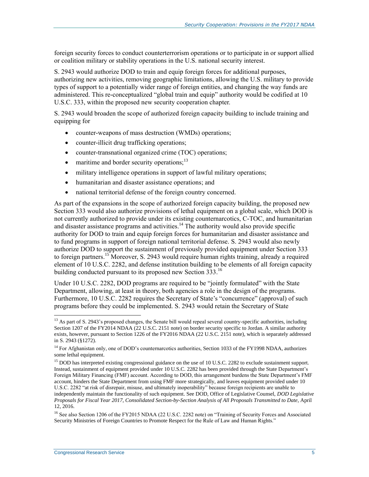foreign security forces to conduct counterterrorism operations or to participate in or support allied or coalition military or stability operations in the U.S. national security interest.

S. 2943 would authorize DOD to train and equip foreign forces for additional purposes, authorizing new activities, removing geographic limitations, allowing the U.S. military to provide types of support to a potentially wider range of foreign entities, and changing the way funds are administered. This re-conceptualized "global train and equip" authority would be codified at 10 U.S.C. 333, within the proposed new security cooperation chapter.

[S. 2943](http://www.congress.gov/cgi-lis/bdquery/z?d114:S.2943:) would broaden the scope of authorized foreign capacity building to include training and equipping for

- counter-weapons of mass destruction (WMDs) operations;
- counter-illicit drug trafficking operations;
- counter-transnational organized crime (TOC) operations;
- $\bullet$  maritime and border security operations;<sup>13</sup>
- military intelligence operations in support of lawful military operations;
- humanitarian and disaster assistance operations; and
- national territorial defense of the foreign country concerned.

As part of the expansions in the scope of authorized foreign capacity building, the proposed new Section 333 would also authorize provisions of lethal equipment on a global scale, which DOD is not currently authorized to provide under its existing counternarcotics, C-TOC, and humanitarian and disaster assistance programs and activities.<sup>14</sup> The authority would also provide specific authority for DOD to train and equip foreign forces for humanitarian and disaster assistance and to fund programs in support of foreign national territorial defense. S. 2943 would also newly authorize DOD to support the sustainment of previously provided equipment under Section 333 to foreign partners.<sup>15</sup> Moreover, [S. 2943](http://www.congress.gov/cgi-lis/bdquery/z?d114:S.2943:) would require human rights training, already a required element of 10 U.S.C. 2282, and defense institution building to be elements of all foreign capacity building conducted pursuant to its proposed new Section 333.<sup>16</sup>

Under 10 U.S.C. 2282, DOD programs are required to be "jointly formulated" with the State Department, allowing, at least in theory, both agencies a role in the design of the programs. Furthermore, 10 U.S.C. 2282 requires the Secretary of State's "concurrence" (approval) of such programs before they could be implemented. S. 2943 would retain the Secretary of State

 $13$  As part of S. 2943's proposed changes, the Senate bill would repeal several country-specific authorities, including Section 1207 of the FY2014 NDAA (22 U.S.C. 2151 note) on border security specific to Jordan. A similar authority exists, however, pursuant to Section 1226 of the FY2016 NDAA (22 U.S.C. 2151 note), which is separately addressed in S. 2943 (§1272).

<sup>&</sup>lt;sup>14</sup> For Afghanistan only, one of DOD's counternarcotics authorities, Section 1033 of the FY1998 NDAA, authorizes some lethal equipment.

<sup>&</sup>lt;sup>15</sup> DOD has interpreted existing congressional guidance on the use of 10 U.S.C. 2282 to exclude sustainment support. Instead, sustainment of equipment provided under 10 U.S.C. 2282 has been provided through the State Department's Foreign Military Financing (FMF) account. According to DOD, this arrangement burdens the State Department's FMF account, hinders the State Department from using FMF more strategically, and leaves equipment provided under 10 U.S.C. 2282 "at risk of disrepair, misuse, and ultimately inoperability" because foreign recipients are unable to independently maintain the functionality of such equipment. See DOD, Office of Legislative Counsel, *DOD Legislative Proposals for Fiscal Year 2017, Consolidated Section-by-Section Analysis of All Proposals Transmitted to Date*, April 12, 2016.

<sup>&</sup>lt;sup>16</sup> See also Section 1206 of the FY2015 NDAA (22 U.S.C. 2282 note) on "Training of Security Forces and Associated Security Ministries of Foreign Countries to Promote Respect for the Rule of Law and Human Rights."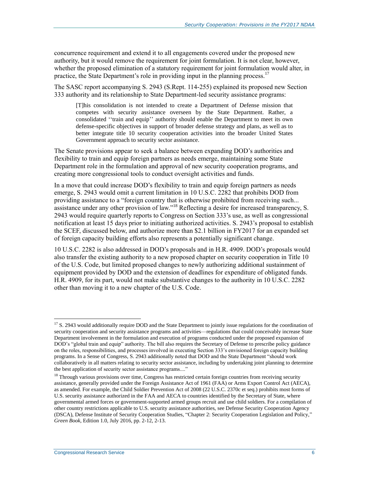concurrence requirement and extend it to all engagements covered under the proposed new authority, but it would remove the requirement for joint formulation. It is not clear, however, whether the proposed elimination of a statutory requirement for joint formulation would alter, in practice, the State Department's role in providing input in the planning process.<sup>17</sup>

The SASC report accompanying [S. 2943](http://www.congress.gov/cgi-lis/bdquery/z?d114:S.2943:) (S.Rept. 114-255) explained its proposed new Section 333 authority and its relationship to State Department-led security assistance programs:

[T]his consolidation is not intended to create a Department of Defense mission that competes with security assistance overseen by the State Department. Rather, a consolidated ''train and equip'' authority should enable the Department to meet its own defense-specific objectives in support of broader defense strategy and plans, as well as to better integrate title 10 security cooperation activities into the broader United States Government approach to security sector assistance.

The Senate provisions appear to seek a balance between expanding DOD's authorities and flexibility to train and equip foreign partners as needs emerge, maintaining some State Department role in the formulation and approval of new security cooperation programs, and creating more congressional tools to conduct oversight activities and funds.

In a move that could increase DOD's flexibility to train and equip foreign partners as needs emerge, [S. 2943](http://www.congress.gov/cgi-lis/bdquery/z?d114:S.2943:) would omit a current limitation in 10 U.S.C. 2282 that prohibits DOD from providing assistance to a "foreign country that is otherwise prohibited from receiving such... assistance under any other provision of law."<sup>18</sup> Reflecting a desire for increased transparency, S. 2943 would require quarterly reports to Congress on Section 333's use, as well as congressional notification at least 15 days prior to initiating authorized activities. [S. 2943'](http://www.congress.gov/cgi-lis/bdquery/z?d114:S.2943:)s proposal to establish the SCEF, discussed below, and authorize more than \$2.1 billion in FY2017 for an expanded set of foreign capacity building efforts also represents a potentially significant change.

10 U.S.C. 2282 is also addressed in DOD's proposals and in H.R. 4909. DOD's proposals would also transfer the existing authority to a new proposed chapter on security cooperation in Title 10 of the U.S. Code, but limited proposed changes to newly authorizing additional sustainment of equipment provided by DOD and the extension of deadlines for expenditure of obligated funds. [H.R. 4909,](http://www.congress.gov/cgi-lis/bdquery/z?d114:H.R.4909:) for its part, would not make substantive changes to the authority in 10 U.S.C. 2282 other than moving it to a new chapter of the U.S. Code.

 $17$  S. 2943 would additionally require DOD and the State Department to jointly issue regulations for the coordination of security cooperation and security assistance programs and activities—regulations that could conceivably increase State Department involvement in the formulation and execution of programs conducted under the proposed expansion of DOD's "global train and equip" authority. The bill also requires the Secretary of Defense to prescribe policy guidance on the roles, responsibilities, and processes involved in executing Section 333's envisioned foreign capacity building programs. In a Sense of Congress, S. 2943 additionally noted that DOD and the State Department "should work collaboratively in all matters relating to security sector assistance, including by undertaking joint planning to determine the best application of security sector assistance programs...."

 $18$  Through various provisions over time, Congress has restricted certain foreign countries from receiving security assistance, generally provided under the Foreign Assistance Act of 1961 (FAA) or Arms Export Control Act (AECA), as amended. For example, the Child Soldier Prevention Act of 2008 (22 U.S.C. 2370c et seq.) prohibits most forms of U.S. security assistance authorized in the FAA and AECA to countries identified by the Secretary of State, where governmental armed forces or government-supported armed groups recruit and use child soldiers. For a compilation of other country restrictions applicable to U.S. security assistance authorities, see Defense Security Cooperation Agency (DSCA), Defense Institute of Security Cooperation Studies, "Chapter 2: Security Cooperation Legislation and Policy," *Green Book*, Edition 1.0, July 2016, pp. 2-12, 2-13.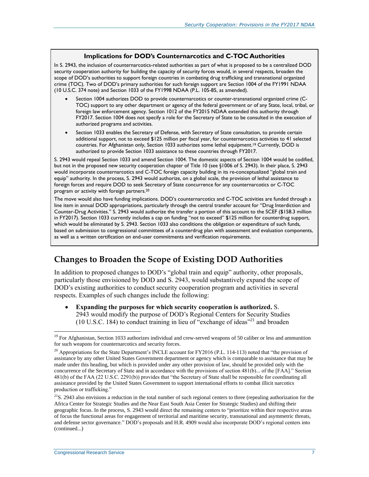#### **Implications for DOD's Counternarcotics and C-TOC Authorities**

In S. 2943, the inclusion of counternarcotics-related authorities as part of what is proposed to be a centralized DOD security cooperation authority for building the capacity of security forces would, in several respects, broaden the scope of DOD's authorities to support foreign countries in combating drug trafficking and transnational organized crime (TOC). Two of DOD's primary authorities for such foreign support are Section 1004 of the FY1991 NDAA (10 U.S.C. 374 note) and Section 1033 of the FY1998 NDAA [\(P.L. 105-85,](http://www.congress.gov/cgi-lis/bdquery/R?d105:FLD002:@1(105+85)) as amended).

- Section 1004 authorizes DOD to provide counternarcotics or counter-transnational organized crime (C-TOC) support to any other department or agency of the federal government or of any State, local, tribal, or foreign law enforcement agency. Section 1012 of the FY2015 NDAA extended this authority through FY2017. Section 1004 does not specify a role for the Secretary of State to be consulted in the execution of authorized programs and activities.
- Section 1033 enables the Secretary of Defense, with Secretary of State consultation, to provide certain additional support, not to exceed \$125 million per fiscal year, for counternarcotics activities to 41 selected countries. For Afghanistan only, Section 1033 authorizes some lethal equipment.<sup>19</sup> Currently, DOD is authorized to provide Section 1033 assistance to these countries through FY2017.

S. 2943 would repeal Section 1033 and amend Section 1004. The domestic aspects of Section 1004 would be codified, but not in the proposed new security cooperation chapter of Title 10 (see §1006 of [S. 2943\)](http://www.congress.gov/cgi-lis/bdquery/z?d114:S.2943:). In their place, S. 2943 would incorporate counternarcotics and C-TOC foreign capacity building in its re-conceptualized "global train and equip" authority. In the process, [S. 2943](http://www.congress.gov/cgi-lis/bdquery/z?d114:S.2943:) would authorize, on a global scale, the provision of lethal assistance to foreign forces and require DOD to seek Secretary of State concurrence for any counternarcotics or C-TOC program or activity with foreign partners.<sup>20</sup>

The move would also have funding implications. DOD's counternarcotics and C-TOC activities are funded through a line item in annual DOD appropriations, particularly through the central transfer account for "Drug Interdiction and Counter-Drug Activities." S. 2943 would authorize the transfer a portion of this account to the SCEF (\$158.3 million in FY2017). Section 1033 currently includes a cap on funding "not to exceed" \$125 million for counterdrug support, which would be eliminated by [S. 2943.](http://www.congress.gov/cgi-lis/bdquery/z?d114:S.2943:) Section 1033 also conditions the obligation or expenditure of such funds, based on submission to congressional committees of a counterdrug plan with assessment and evaluation components, as well as a written certification on end-user commitments and verification requirements.

### **Changes to Broaden the Scope of Existing DOD Authorities**

In addition to proposed changes to DOD's "global train and equip" authority, other proposals, particularly those envisioned by DOD and S. 2943, would substantively expand the scope of DOD's existing authorities to conduct security cooperation program and activities in several respects. Examples of such changes include the following:

 **Expanding the purposes for which security cooperation is authorized.** [S.](http://www.congress.gov/cgi-lis/bdquery/z?d114:S.2943:)  [2943](http://www.congress.gov/cgi-lis/bdquery/z?d114:S.2943:) would modify the purpose of DOD's Regional Centers for Security Studies (10 U.S.C. 184) to conduct training in lieu of "exchange of ideas" <sup>21</sup> and broaden

<sup>&</sup>lt;sup>19</sup> For Afghanistan, Section 1033 authorizes individual and crew-served weapons of 50 caliber or less and ammunition for such weapons for counternarcotics and security forces.

 $20$  Appropriations for the State Department's INCLE account for FY2016 (P.L. 114-113) noted that "the provision of assistance by any other United States Government department or agency which is comparable to assistance that may be made under this heading, but which is provided under any other provision of law, should be provided only with the concurrence of the Secretary of State and in accordance with the provisions of section 481(b)... of the [FAA]." Section 481(b) of the FAA (22 U.S.C. 2291(b)) provides that "the Secretary of State shall be responsible for coordinating all assistance provided by the United States Government to support international efforts to combat illicit narcotics production or trafficking."

 $21$ S. 2943 also envisions a reduction in the total number of such regional centers to three (repealing authorization for the Africa Center for Strategic Studies and the Near East South Asia Center for Strategic Studies) and shifting their geographic focus. In the process, S. 2943 would direct the remaining centers to "prioritize within their respective areas of focus the functional areas for engagement of territorial and maritime security, transnational and asymmetric threats, and defense sector governance." DOD's proposals and H.R. 4909 would also incorporate DOD's regional centers into (continued...)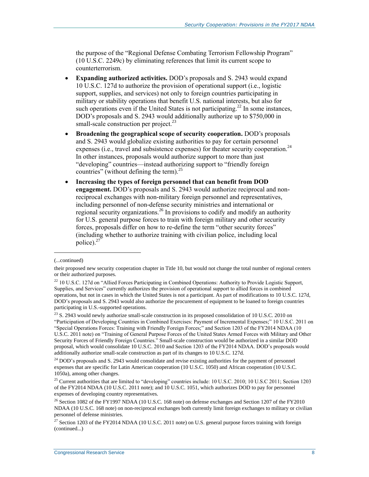the purpose of the "Regional Defense Combating Terrorism Fellowship Program" (10 U.S.C. 2249c) by eliminating references that limit its current scope to counterterrorism.

- **Expanding authorized activities.** DOD's proposals and S. 2943 would expand 10 U.S.C. 127d to authorize the provision of operational support (i.e., logistic support, supplies, and services) not only to foreign countries participating in military or stability operations that benefit U.S. national interests, but also for such operations even if the United States is not participating.<sup>22</sup> In some instances, DOD's proposals and [S. 2943](http://www.congress.gov/cgi-lis/bdquery/z?d114:S.2943:) would additionally authorize up to \$750,000 in small-scale construction per project.<sup>23</sup>
- **Broadening the geographical scope of security cooperation.** DOD's proposals and S. 2943 would globalize existing authorities to pay for certain personnel expenses (i.e., travel and subsistence expenses) for theater security cooperation.<sup>24</sup> In other instances, proposals would authorize support to more than just "developing" countries—instead authorizing support to "friendly foreign countries" (without defining the term). $^{25}$
- **Increasing the types of foreign personnel that can benefit from DOD engagement.** DOD's proposals and [S. 2943](http://www.congress.gov/cgi-lis/bdquery/z?d114:S.2943:) would authorize reciprocal and nonreciprocal exchanges with non-military foreign personnel and representatives, including personnel of non-defense security ministries and international or regional security organizations.<sup>26</sup> In provisions to codify and modify an authority for U.S. general purpose forces to train with foreign military and other security forces, proposals differ on how to re-define the term "other security forces" (including whether to authorize training with civilian police, including local police). $27$

 $\overline{a}$ 

<sup>23</sup> S. 2943 would newly authorize small-scale construction in its proposed consolidation of 10 U.S.C. 2010 on "Participation of Developing Countries in Combined Exercises: Payment of Incremental Expenses;" 10 U.S.C. 2011 on "Special Operations Forces: Training with Friendly Foreign Forces;" and Section 1203 of the FY2014 NDAA (10 U.S.C. 2011 note) on "Training of General Purpose Forces of the United States Armed Forces with Military and Other Security Forces of Friendly Foreign Countries." Small-scale construction would be authorized in a similar DOD proposal, which would consolidate 10 U.S.C. 2010 and Section 1203 of the FY2014 NDAA. DOD's proposals would additionally authorize small-scale construction as part of its changes to 10 U.S.C. 127d.

<sup>24</sup> DOD's proposals and S. 2943 would consolidate and revise existing authorities for the payment of personnel expenses that are specific for Latin American cooperation (10 U.S.C. 1050) and African cooperation (10 U.S.C. 1050a), among other changes.

 $^{25}$  Current authorities that are limited to "developing" countries include: 10 U.S.C. 2010; 10 U.S.C 2011; Section 1203 of the FY2014 NDAA (10 U.S.C. 2011 note); and 10 U.S.C. 1051, which authorizes DOD to pay for personnel expenses of developing country representatives.

<sup>(...</sup>continued)

their proposed new security cooperation chapter in Title 10, but would not change the total number of regional centers or their authorized purposes.

<sup>&</sup>lt;sup>22</sup> 10 U.S.C. 127d on "Allied Forces Participating in Combined Operations: Authority to Provide Logistic Support, Supplies, and Services" currently authorizes the provision of operational support to allied forces in combined operations, but not in cases in which the United States is not a participant. As part of modifications to 10 U.S.C. 127d, DOD's proposals and S. 2943 would also authorize the procurement of equipment to be loaned to foreign countries participating in U.S.-supported operations.

<sup>&</sup>lt;sup>26</sup> Section 1082 of the FY1997 NDAA (10 U.S.C. 168 note) on defense exchanges and Section 1207 of the FY2010 NDAA (10 U.S.C. 168 note) on non-reciprocal exchanges both currently limit foreign exchanges to military or civilian personnel of defense ministries.

<sup>&</sup>lt;sup>27</sup> Section 1203 of the FY2014 NDAA (10 U.S.C. 2011 note) on U.S. general purpose forces training with foreign (continued...)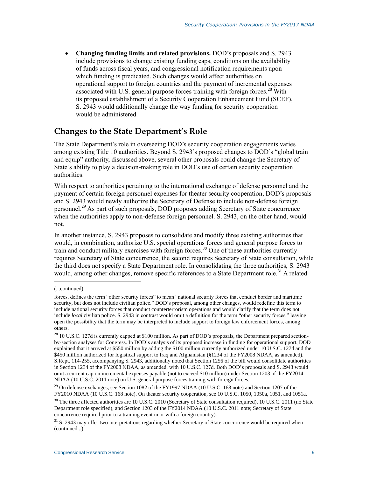**Changing funding limits and related provisions.** DOD's proposals and S. 2943 include provisions to change existing funding caps, conditions on the availability of funds across fiscal years, and congressional notification requirements upon which funding is predicated. Such changes would affect authorities on operational support to foreign countries and the payment of incremental expenses associated with U.S. general purpose forces training with foreign forces.<sup>28</sup> With its proposed establishment of a Security Cooperation Enhancement Fund (SCEF), [S. 2943](http://www.congress.gov/cgi-lis/bdquery/z?d114:S.2943:) would additionally change the way funding for security cooperation would be administered.

### **Changes to the State Department's Role**

The State Department's role in overseeing DOD's security cooperation engagements varies among existing Title 10 authorities. Beyond S. 2943's proposed changes to DOD's "global train and equip" authority, discussed above, several other proposals could change the Secretary of State's ability to play a decision-making role in DOD's use of certain security cooperation authorities.

With respect to authorities pertaining to the international exchange of defense personnel and the payment of certain foreign personnel expenses for theater security cooperation, DOD's proposals and [S. 2943](http://www.congress.gov/cgi-lis/bdquery/z?d114:S.2943:) would newly authorize the Secretary of Defense to include non-defense foreign personnel.<sup>29</sup> As part of such proposals, DOD proposes adding Secretary of State concurrence when the authorities apply to non-defense foreign personnel. S. 2943, on the other hand, would not.

In another instance, [S. 2943](http://www.congress.gov/cgi-lis/bdquery/z?d114:S.2943:) proposes to consolidate and modify three existing authorities that would, in combination, authorize U.S. special operations forces and general purpose forces to train and conduct military exercises with foreign forces.<sup>30</sup> One of these authorities currently requires Secretary of State concurrence, the second requires Secretary of State consultation, while the third does not specify a State Department role. In consolidating the three authorities, S. 2943 would, among other changes, remove specific references to a State Department role.<sup>31</sup> A related

<sup>(...</sup>continued)

forces, defines the term "other security forces" to mean "national security forces that conduct border and maritime security, but does not include civilian police." DOD's proposal, among other changes, would redefine this term to include national security forces that conduct counterterrorism operations and would clarify that the term does not include *local* civilian police. S. 2943 in contrast would omit a definition for the term "other security forces," leaving open the possibility that the term may be interpreted to include support to foreign law enforcement forces, among others.

<sup>&</sup>lt;sup>28</sup> 10 U.S.C. 127d is currently capped at \$100 million. As part of DOD's proposals, the Department prepared sectionby-section analyses for Congress. In DOD's analysis of its proposed increase in funding for operational support, DOD explained that it arrived at \$550 million by adding the \$100 million currently authorized under 10 U.S.C. 127d and the \$450 million authorized for logistical support to Iraq and Afghanistan (§1234 of the FY2008 NDAA, as amended). S.Rept. 114-255, accompanying S. 2943, additionally noted that Section 1256 of the bill would consolidate authorities in Section 1234 of the FY2008 NDAA, as amended, with 10 U.S.C. 127d. Both DOD's proposals and S. 2943 would omit a current cap on incremental expenses payable (not to exceed \$10 million) under Section 1203 of the FY2014 NDAA (10 U.S.C. 2011 note) on U.S. general purpose forces training with foreign forces.

<sup>&</sup>lt;sup>29</sup> On defense exchanges, see Section 1082 of the FY1997 NDAA (10 U.S.C. 168 note) and Section 1207 of the FY2010 NDAA (10 U.S.C. 168 note). On theater security cooperation, see 10 U.S.C. 1050, 1050a, 1051, and 1051a.

 $30$  The three affected authorities are 10 U.S.C. 2010 (Secretary of State consultation required), 10 U.S.C. 2011 (no State Department role specified), and Section 1203 of the FY2014 NDAA (10 U.S.C. 2011 note; Secretary of State concurrence required prior to a training event in or with a foreign country).

 $31$  S. 2943 may offer two interpretations regarding whether Secretary of State concurrence would be required when (continued...)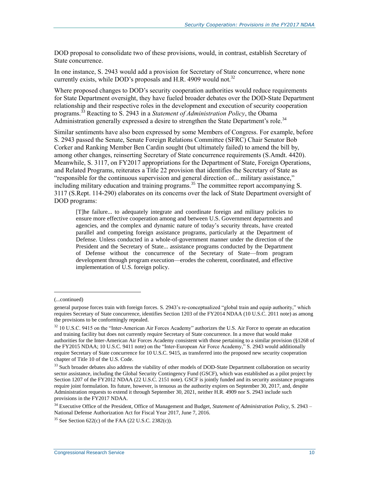DOD proposal to consolidate two of these provisions, would, in contrast, establish Secretary of State concurrence.

In one instance, [S. 2943](http://www.congress.gov/cgi-lis/bdquery/z?d114:S.2943:) would add a provision for Secretary of State concurrence, where none currently exists, while DOD's proposals and H.R. 4909 would not.<sup>32</sup>

Where proposed changes to DOD's security cooperation authorities would reduce requirements for State Department oversight, they have fueled broader debates over the DOD-State Department relationship and their respective roles in the development and execution of security cooperation programs.<sup>33</sup> Reacting to [S. 2943](http://www.congress.gov/cgi-lis/bdquery/z?d114:S.2943:) in a *Statement of Administration Policy*, the Obama Administration generally expressed a desire to strengthen the State Department's role.<sup>34</sup>

Similar sentiments have also been expressed by some Members of Congress. For example, before S. 2943 passed the Senate, Senate Foreign Relations Committee (SFRC) Chair Senator Bob Corker and Ranking Member Ben Cardin sought (but ultimately failed) to amend the bill by, among other changes, reinserting Secretary of State concurrence requirements [\(S.Amdt. 4420\)](http://www.congress.gov/cgi-lis/bdquery/z?d114:S.Amdt.4420:). Meanwhile, S. 3117, on FY2017 appropriations for the Department of State, Foreign Operations, and Related Programs, reiterates a Title 22 provision that identifies the Secretary of State as "responsible for the continuous supervision and general direction of... military assistance," including military education and training programs.<sup>35</sup> The committee report accompanying S. [3117](http://www.congress.gov/cgi-lis/bdquery/z?d114:S.3117:) (S.Rept. 114-290) elaborates on its concerns over the lack of State Department oversight of DOD programs:

[T]he failure... to adequately integrate and coordinate foreign and military policies to ensure more effective cooperation among and between U.S. Government departments and agencies, and the complex and dynamic nature of today's security threats, have created parallel and competing foreign assistance programs, particularly at the Department of Defense. Unless conducted in a whole-of-government manner under the direction of the President and the Secretary of State... assistance programs conducted by the Department of Defense without the concurrence of the Secretary of State—from program development through program execution—erodes the coherent, coordinated, and effective implementation of U.S. foreign policy.

<sup>(...</sup>continued)

general purpose forces train with foreign forces. S. 2943's re-conceptualized "global train and equip authority," which requires Secretary of State concurrence, identifies Section 1203 of the FY2014 NDAA (10 U.S.C. 2011 note) as among the provisions to be conformingly repealed.

 $32$  10 U.S.C. 9415 on the "Inter-American Air Forces Academy" authorizes the U.S. Air Force to operate an education and training facility but does not currently require Secretary of State concurrence. In a move that would make authorities for the Inter-American Air Forces Academy consistent with those pertaining to a similar provision (§1268 of the FY2015 NDAA; 10 U.S.C. 9411 note) on the "Inter-European Air Force Academy," S. 2943 would additionally require Secretary of State concurrence for 10 U.S.C. 9415, as transferred into the proposed new security cooperation chapter of Title 10 of the U.S. Code.

<sup>&</sup>lt;sup>33</sup> Such broader debates also address the viability of other models of DOD-State Department collaboration on security sector assistance, including the Global Security Contingency Fund (GSCF), which was established as a pilot project by Section 1207 of the FY2012 NDAA (22 U.S.C. 2151 note). GSCF is jointly funded and its security assistance programs require joint formulation. Its future, however, is tenuous as the authority expires on September 30, 2017, and, despite Administration requests to extend it through September 30, 2021, neither H.R. 4909 nor S. 2943 include such provisions in the FY2017 NDAA.

<sup>34</sup> Executive Office of the President, Office of Management and Budget, *Statement of Administration Policy*, S. 2943 – National Defense Authorization Act for Fiscal Year 2017, June 7, 2016.

<sup>&</sup>lt;sup>35</sup> See Section  $622(c)$  of the FAA (22 U.S.C. 2382(c)).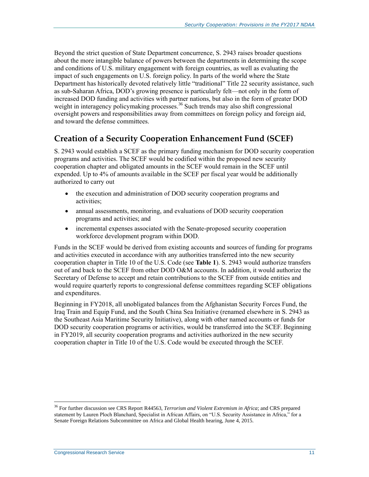Beyond the strict question of State Department concurrence, [S. 2943](http://www.congress.gov/cgi-lis/bdquery/z?d114:S.2943:) raises broader questions about the more intangible balance of powers between the departments in determining the scope and conditions of U.S. military engagement with foreign countries, as well as evaluating the impact of such engagements on U.S. foreign policy. In parts of the world where the State Department has historically devoted relatively little "traditional" Title 22 security assistance, such as sub-Saharan Africa, DOD's growing presence is particularly felt—not only in the form of increased DOD funding and activities with partner nations, but also in the form of greater DOD weight in interagency policymaking processes.<sup>36</sup> Such trends may also shift congressional oversight powers and responsibilities away from committees on foreign policy and foreign aid, and toward the defense committees.

### **Creation of a Security Cooperation Enhancement Fund (SCEF)**

S. 2943 would establish a SCEF as the primary funding mechanism for DOD security cooperation programs and activities. The SCEF would be codified within the proposed new security cooperation chapter and obligated amounts in the SCEF would remain in the SCEF until expended. Up to 4% of amounts available in the SCEF per fiscal year would be additionally authorized to carry out

- the execution and administration of DOD security cooperation programs and activities;
- annual assessments, monitoring, and evaluations of DOD security cooperation programs and activities; and
- incremental expenses associated with the Senate-proposed security cooperation workforce development program within DOD.

Funds in the SCEF would be derived from existing accounts and sources of funding for programs and activities executed in accordance with any authorities transferred into the new security cooperation chapter in Title 10 of the U.S. Code (see **[Table 1](#page-15-0)**). [S. 2943](http://www.congress.gov/cgi-lis/bdquery/z?d114:S.2943:) would authorize transfers out of and back to the SCEF from other DOD O&M accounts. In addition, it would authorize the Secretary of Defense to accept and retain contributions to the SCEF from outside entities and would require quarterly reports to congressional defense committees regarding SCEF obligations and expenditures.

Beginning in FY2018, all unobligated balances from the Afghanistan Security Forces Fund, the Iraq Train and Equip Fund, and the South China Sea Initiative (renamed elsewhere in S. 2943 as the Southeast Asia Maritime Security Initiative), along with other named accounts or funds for DOD security cooperation programs or activities, would be transferred into the SCEF. Beginning in FY2019, all security cooperation programs and activities authorized in the new security cooperation chapter in Title 10 of the U.S. Code would be executed through the SCEF.

<sup>36</sup> For further discussion see CRS Report R44563, *Terrorism and Violent Extremism in Africa*; and CRS prepared statement by Lauren Ploch Blanchard, Specialist in African Affairs, on "U.S. Security Assistance in Africa," for a Senate Foreign Relations Subcommittee on Africa and Global Health hearing, June 4, 2015.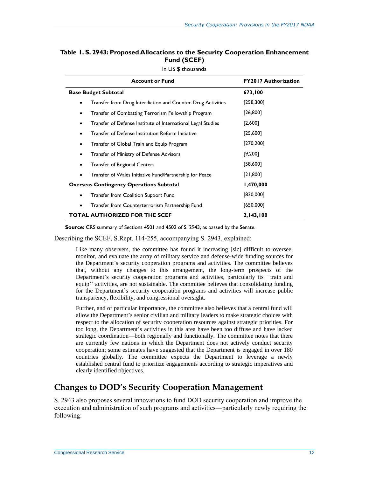<span id="page-15-0"></span>

| Table 1. S. 2943: Proposed Allocations to the Security Cooperation Enhancement |
|--------------------------------------------------------------------------------|
| Fund (SCEF)                                                                    |

| <b>Account or Fund</b>                                                   | <b>FY2017 Authorization</b> |
|--------------------------------------------------------------------------|-----------------------------|
| <b>Base Budget Subtotal</b>                                              | 673,100                     |
| Transfer from Drug Interdiction and Counter-Drug Activities<br>$\bullet$ | [258,300]                   |
| Transfer of Combatting Terrorism Fellowship Program<br>٠                 | [26, 800]                   |
| Transfer of Defense Institute of International Legal Studies<br>٠        | [2,600]                     |
| Transfer of Defense Institution Reform Initiative                        | [25,600]                    |
| Transfer of Global Train and Equip Program<br>٠                          | [270, 200]                  |
| Transfer of Ministry of Defense Advisors<br>٠                            | [9,200]                     |
| <b>Transfer of Regional Centers</b><br>٠                                 | [58,600]                    |
| Transfer of Wales Initiative Fund/Partnership for Peace<br>٠             | [21,800]                    |
| <b>Overseas Contingency Operations Subtotal</b>                          | 1,470,000                   |
| Transfer from Coalition Support Fund<br>$\bullet$                        | [820,000]                   |
| Transfer from Counterterrorism Partnership Fund                          | [650,000]                   |
| <b>TOTAL AUTHORIZED FOR THE SCEF</b>                                     | 2,143,100                   |

in US \$ thousands

**Source:** CRS summary of Sections 4501 and 4502 of S. 2943, as passed by the Senate.

Describing the SCEF, [S.Rept. 114-255,](http://www.congress.gov/cgi-lis/cpquery/R?cp114:FLD010:@1(sr255):) accompanying S. 2943, explained:

Like many observers, the committee has found it increasing [sic] difficult to oversee, monitor, and evaluate the array of military service and defense-wide funding sources for the Department's security cooperation programs and activities. The committee believes that, without any changes to this arrangement, the long-term prospects of the Department's security cooperation programs and activities, particularly its ''train and equip'' activities, are not sustainable. The committee believes that consolidating funding for the Department's security cooperation programs and activities will increase public transparency, flexibility, and congressional oversight.

Further, and of particular importance, the committee also believes that a central fund will allow the Department's senior civilian and military leaders to make strategic choices with respect to the allocation of security cooperation resources against strategic priorities. For too long, the Department's activities in this area have been too diffuse and have lacked strategic coordination—both regionally and functionally. The committee notes that there are currently few nations in which the Department does not actively conduct security cooperation; some estimates have suggested that the Department is engaged in over 180 countries globally. The committee expects the Department to leverage a newly established central fund to prioritize engagements according to strategic imperatives and clearly identified objectives.

### **Changes to DOD's Security Cooperation Management**

[S. 2943](http://www.congress.gov/cgi-lis/bdquery/z?d114:S.2943:) also proposes several innovations to fund DOD security cooperation and improve the execution and administration of such programs and activities—particularly newly requiring the following: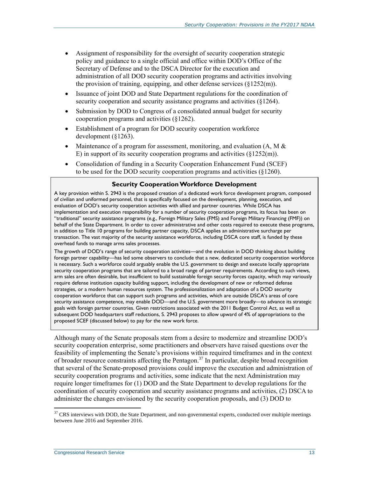- Assignment of responsibility for the oversight of security cooperation strategic policy and guidance to a single official and office within DOD's Office of the Secretary of Defense and to the DSCA Director for the execution and administration of all DOD security cooperation programs and activities involving the provision of training, equipping, and other defense services  $(\S1252(m))$ .
- Issuance of joint DOD and State Department regulations for the coordination of security cooperation and security assistance programs and activities (§1264).
- Submission by DOD to Congress of a consolidated annual budget for security cooperation programs and activities (§1262).
- Establishment of a program for DOD security cooperation workforce development (§1263).
- Maintenance of a program for assessment, monitoring, and evaluation  $(A, M \& )$ E) in support of its security cooperation programs and activities (§1252(m)).
- Consolidation of funding in a Security Cooperation Enhancement Fund (SCEF) to be used for the DOD security cooperation programs and activities (§1260).

#### **Security Cooperation Workforce Development**

A key provision within S. 2943 is the proposed creation of a dedicated work force development program, composed of civilian and uniformed personnel, that is specifically focused on the development, planning, execution, and evaluation of DOD's security cooperation activities with allied and partner countries. While DSCA has implementation and execution responsibility for a number of security cooperation programs, its focus has been on "traditional" security assistance programs (e.g., Foreign Military Sales (FMS) and Foreign Military Financing (FMF)) on behalf of the State Department. In order to cover administrative and other costs required to execute these programs, in addition to Title 10 programs for building partner capacity, DSCA applies an administrative surcharge per transaction. The vast majority of the security assistance workforce, including DSCA core staff, is funded by these overhead funds to manage arms sales processes.

The growth of DOD's range of security cooperation activities—and the evolution in DOD thinking about building foreign partner capability—has led some observers to conclude that a new, dedicated security cooperation workforce is necessary. Such a workforce could arguably enable the U.S. government to design and execute locally appropriate security cooperation programs that are tailored to a broad range of partner requirements. According to such views, arm sales are often desirable, but insufficient to build sustainable foreign security forces capacity, which may variously require defense institution capacity building support, including the development of new or reformed defense strategies, or a modern human resources system. The professionalization and adaptation of a DOD security cooperation workforce that can support such programs and activities, which are outside DSCA's areas of core security assistance competence, may enable DOD—and the U.S. government more broadly—to advance its strategic goals with foreign partner countries. Given restrictions associated with the 2011 Budget Control Act, as well as subsequent DOD headquarters staff reductions, [S. 2943](http://www.congress.gov/cgi-lis/bdquery/z?d114:S.2943:) proposes to allow upward of 4% of appropriations to the proposed SCEF (discussed below) to pay for the new work force.

Although many of the Senate proposals stem from a desire to modernize and streamline DOD's security cooperation enterprise, some practitioners and observers have raised questions over the feasibility of implementing the Senate's provisions within required timeframes and in the context of broader resource constraints affecting the Pentagon. <sup>37</sup> In particular, despite broad recognition that several of the Senate-proposed provisions could improve the execution and administration of security cooperation programs and activities, some indicate that the next Administration may require longer timeframes for (1) DOD and the State Department to develop regulations for the coordination of security cooperation and security assistance programs and activities, (2) DSCA to administer the changes envisioned by the security cooperation proposals, and (3) DOD to

 $37$  CRS interviews with DOD, the State Department, and non-governmental experts, conducted over multiple meetings between June 2016 and September 2016.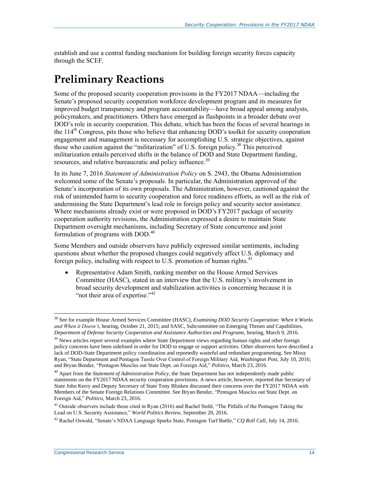establish and use a central funding mechanism for building foreign security forces capacity through the SCEF.

## **Preliminary Reactions**

Some of the proposed security cooperation provisions in the FY2017 NDAA—including the Senate's proposed security cooperation workforce development program and its measures for improved budget transparency and program accountability—have broad appeal among analysts, policymakers, and practitioners. Others have emerged as flashpoints in a broader debate over DOD's role in security cooperation. This debate, which has been the focus of several hearings in the  $114<sup>th</sup>$  Congress, pits those who believe that enhancing DOD's toolkit for security cooperation engagement and management is necessary for accomplishing U.S. strategic objectives, against those who caution against the "militarization" of U.S. foreign policy.<sup>38</sup> This perceived militarization entails perceived shifts in the balance of DOD and State Department funding, resources, and relative bureaucratic and policy influence.<sup>39</sup>

In its June 7, 2016 *Statement of Administration Policy* on S. 2943, the Obama Administration welcomed some of the Senate's proposals. In particular, the Administration approved of the Senate's incorporation of its own proposals. The Administration, however, cautioned against the risk of unintended harm to security cooperation and force readiness efforts, as well as the risk of undermining the State Department's lead role in foreign policy and security sector assistance. Where mechanisms already exist or were proposed in DOD's FY2017 package of security cooperation authority revisions, the Administration expressed a desire to maintain State Department oversight mechanisms, including Secretary of State concurrence and joint formulation of programs with DOD.<sup>40</sup>

Some Members and outside observers have publicly expressed similar sentiments, including questions about whether the proposed changes could negatively affect U.S. diplomacy and foreign policy, including with respect to U.S. promotion of human rights.<sup>41</sup>

 Representative Adam Smith, ranking member on the House Armed Services Committee (HASC), stated in an interview that the U.S. military's involvement in broad security development and stabilization activities is concerning because it is "not their area of expertise."<sup>42</sup>

 $\overline{a}$ <sup>38</sup> See for example House Armed Services Committee (HASC), *Examining DOD Security Cooperation: When it Works and When it Doesn't*, hearing, October 21, 2015; and SASC, Subcommittee on Emerging Threats and Capabilities, *Department of Defense Security Cooperation and Assistance Authorities and Programs*, hearing, March 9, 2016.

<sup>&</sup>lt;sup>39</sup> News articles report several examples where State Department views regarding human rights and other foreign policy concerns have been sidelined in order for DOD to engage or support activities. Other observers have described a lack of DOD-State Department policy coordination and reportedly wasteful and redundant programming. See Missy Ryan, "State Department and Pentagon Tussle Over Control of Foreign Military Aid*, Washington Post*, July 10, 2016; and Bryan Bender, "Pentagon Muscles out State Dept. on Foreign Aid," *Politico*, March 23, 2016.

<sup>40</sup> Apart from the *Statement of Administration Policy*, the State Department has not independently made public statements on the FY2017 NDAA security cooperation provisions. A news article, however, reported that Secretary of State John Kerry and Deputy Secretary of State Tony Blinken discussed their concerns over the FY2017 NDAA with Members of the Senate Foreign Relations Committee. See Bryan Bender, "Pentagon Muscles out State Dept. on Foreign Aid," *Politico*, March 23, 2016.

<sup>&</sup>lt;sup>41</sup> Outside observers include those cited in Ryan (2016) and Rachel Stohl, "The Pitfalls of the Pentagon Taking the Lead on U.S. Security Assistance," *World Politics Review*, September 20, 2016.

<sup>42</sup> Rachel Oswald, "Senate's NDAA Language Sparks State, Pentagon Turf Battle," *CQ Roll Call*, July 14, 2016.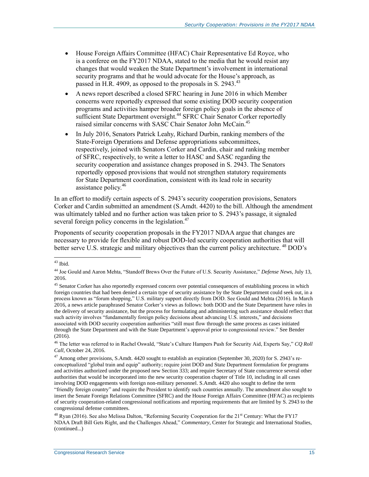- House Foreign Affairs Committee (HFAC) Chair Representative Ed Royce, who is a conferee on the FY2017 NDAA, stated to the media that he would resist any changes that would weaken the State Department's involvement in international security programs and that he would advocate for the House's approach, as passed in [H.R. 4909,](http://www.congress.gov/cgi-lis/bdquery/z?d114:H.R.4909:) as opposed to the proposals in S. 2943.<sup>43</sup>
- A news report described a closed SFRC hearing in June 2016 in which Member concerns were reportedly expressed that some existing DOD security cooperation programs and activities hamper broader foreign policy goals in the absence of sufficient State Department oversight.<sup>44</sup> SFRC Chair Senator Corker reportedly raised similar concerns with SASC Chair Senator John McCain.<sup>45</sup>
- In July 2016, Senators Patrick Leahy, Richard Durbin, ranking members of the State-Foreign Operations and Defense appropriations subcommittees, respectively, joined with Senators Corker and Cardin, chair and ranking member of SFRC, respectively, to write a letter to HASC and SASC regarding the security cooperation and assistance changes proposed in [S. 2943.](http://www.congress.gov/cgi-lis/bdquery/z?d114:S.2943:) The Senators reportedly opposed provisions that would not strengthen statutory requirements for State Department coordination, consistent with its lead role in security assistance policy.<sup>46</sup>

In an effort to modify certain aspects of S. 2943's security cooperation provisions, Senators Corker and Cardin submitted an amendment [\(S.Amdt. 4420\)](http://www.congress.gov/cgi-lis/bdquery/z?d114:S.Amdt.4420:) to the bill. Although the amendment was ultimately tabled and no further action was taken prior to S. 2943's passage, it signaled several foreign policy concerns in the legislation. $47$ 

Proponents of security cooperation proposals in the FY2017 NDAA argue that changes are necessary to provide for flexible and robust DOD-led security cooperation authorities that will better serve U.S. strategic and military objectives than the current policy architecture.<sup>48</sup> DOD's

 $\overline{a}$  $43$  Ibid.

<sup>44</sup> Joe Gould and Aaron Mehta, "Standoff Brews Over the Future of U.S. Security Assistance," *Defense News*, July 13, 2016.

<sup>&</sup>lt;sup>45</sup> Senator Corker has also reportedly expressed concern over potential consequences of establishing process in which foreign countries that had been denied a certain type of security assistance by the State Department could seek out, in a process known as "forum shopping," U.S. military support directly from DOD. See Gould and Mehta (2016). In March 2016, a news article paraphrased Senator Corker's views as follows: both DOD and the State Department have roles in the delivery of security assistance, but the process for formulating and administering such assistance should reflect that such activity involves "fundamentally foreign policy decisions about advancing U.S. interests," and decisions associated with DOD security cooperation authorities "still must flow through the same process as cases initiated through the State Department and with the State Department's approval prior to congressional review." See Bender (2016).

<sup>46</sup> The letter was referred to in Rachel Oswald, "State's Culture Hampers Push for Security Aid, Experts Say," *CQ Roll Call*, October 24, 2016.

 $^{47}$  Among other provisions, S.Amdt. 4420 sought to establish an expiration (September 30, 2020) for S. 2943's reconceptualized "global train and equip" authority; require joint DOD and State Department formulation for programs and activities authorized under the proposed new Section 333; and require Secretary of State concurrence several other authorities that would be incorporated into the new security cooperation chapter of Title 10, including in all cases involving DOD engagements with foreign non-military personnel. S.Amdt. 4420 also sought to define the term "friendly foreign country" and require the President to identify such countries annually. The amendment also sought to insert the Senate Foreign Relations Committee (SFRC) and the House Foreign Affairs Committee (HFAC) as recipients of security cooperation-related congressional notifications and reporting requirements that are limited by S. 2943 to the congressional defense committees.

<sup>&</sup>lt;sup>48</sup> Ryan (2016). See also Melissa Dalton, "Reforming Security Cooperation for the 21<sup>st</sup> Century: What the FY17 NDAA Draft Bill Gets Right, and the Challenges Ahead," *Commentary*, Center for Strategic and International Studies, (continued...)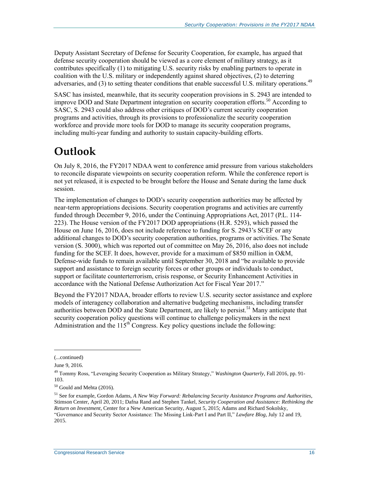Deputy Assistant Secretary of Defense for Security Cooperation, for example, has argued that defense security cooperation should be viewed as a core element of military strategy, as it contributes specifically (1) to mitigating U.S. security risks by enabling partners to operate in coalition with the U.S. military or independently against shared objectives, (2) to deterring adversaries, and (3) to setting theater conditions that enable successful U.S. military operations.<sup>49</sup>

SASC has insisted, meanwhile, that its security cooperation provisions in [S. 2943](http://www.congress.gov/cgi-lis/bdquery/z?d114:S.2943:) are intended to improve DOD and State Department integration on security cooperation efforts.<sup>50</sup> According to SASC, S. 2943 could also address other critiques of DOD's current security cooperation programs and activities, through its provisions to professionalize the security cooperation workforce and provide more tools for DOD to manage its security cooperation programs, including multi-year funding and authority to sustain capacity-building efforts.

## **Outlook**

On July 8, 2016, the FY2017 NDAA went to conference amid pressure from various stakeholders to reconcile disparate viewpoints on security cooperation reform. While the conference report is not yet released, it is expected to be brought before the House and Senate during the lame duck session.

The implementation of changes to DOD's security cooperation authorities may be affected by near-term appropriations decisions. Security cooperation programs and activities are currently funded through December 9, 2016, under the Continuing Appropriations Act, 2017 [\(P.L. 114-](http://www.congress.gov/cgi-lis/bdquery/R?d114:FLD002:@1(114+223)) [223\)](http://www.congress.gov/cgi-lis/bdquery/R?d114:FLD002:@1(114+223)). The House version of the FY2017 DOD appropriations (H.R. 5293), which passed the House on June 16, 2016, does not include reference to funding for [S. 2943'](http://www.congress.gov/cgi-lis/bdquery/z?d114:S.2943:)s SCEF or any additional changes to DOD's security cooperation authorities, programs or activities. The Senate version (S. 3000), which was reported out of committee on May 26, 2016, also does not include funding for the SCEF. It does, however, provide for a maximum of \$850 million in O&M, Defense-wide funds to remain available until September 30, 2018 and "be available to provide support and assistance to foreign security forces or other groups or individuals to conduct, support or facilitate counterterrorism, crisis response, or Security Enhancement Activities in accordance with the National Defense Authorization Act for Fiscal Year 2017."

Beyond the FY2017 NDAA, broader efforts to review U.S. security sector assistance and explore models of interagency collaboration and alternative budgeting mechanisms, including transfer authorities between DOD and the State Department, are likely to persist.<sup>51</sup> Many anticipate that security cooperation policy questions will continue to challenge policymakers in the next Administration and the  $115<sup>th</sup>$  Congress. Key policy questions include the following:

<sup>(...</sup>continued)

June 9, 2016.

<sup>49</sup> Tommy Ross, "Leveraging Security Cooperation as Military Strategy," *Washington Quarterly*, Fall 2016, pp. 91- 103.

<sup>50</sup> Gould and Mehta (2016).

<sup>51</sup> See for example, Gordon Adams, *A New Way Forward: Rebalancing Security Assistance Programs and Authorities*, Stimson Center, April 20, 2011; Dafna Rand and Stephen Tankel, *Security Cooperation and Assistance: Rethinking the Return on Investment*, Center for a New American Security, August 5, 2015; Adams and Richard Sokolsky, "Governance and Security Sector Assistance: The Missing Link-Part I and Part II," *Lawfare Blog*, July 12 and 19, 2015.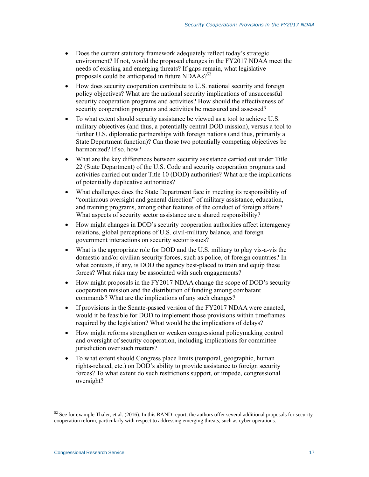- Does the current statutory framework adequately reflect today's strategic environment? If not, would the proposed changes in the FY2017 NDAA meet the needs of existing and emerging threats? If gaps remain, what legislative proposals could be anticipated in future NDAAs?<sup>52</sup>
- How does security cooperation contribute to U.S. national security and foreign policy objectives? What are the national security implications of unsuccessful security cooperation programs and activities? How should the effectiveness of security cooperation programs and activities be measured and assessed?
- To what extent should security assistance be viewed as a tool to achieve U.S. military objectives (and thus, a potentially central DOD mission), versus a tool to further U.S. diplomatic partnerships with foreign nations (and thus, primarily a State Department function)? Can those two potentially competing objectives be harmonized? If so, how?
- What are the key differences between security assistance carried out under Title 22 (State Department) of the U.S. Code and security cooperation programs and activities carried out under Title 10 (DOD) authorities? What are the implications of potentially duplicative authorities?
- What challenges does the State Department face in meeting its responsibility of "continuous oversight and general direction" of military assistance, education, and training programs, among other features of the conduct of foreign affairs? What aspects of security sector assistance are a shared responsibility?
- How might changes in DOD's security cooperation authorities affect interagency relations, global perceptions of U.S. civil-military balance, and foreign government interactions on security sector issues?
- What is the appropriate role for DOD and the U.S. military to play vis-a-vis the domestic and/or civilian security forces, such as police, of foreign countries? In what contexts, if any, is DOD the agency best-placed to train and equip these forces? What risks may be associated with such engagements?
- How might proposals in the FY2017 NDAA change the scope of DOD's security cooperation mission and the distribution of funding among combatant commands? What are the implications of any such changes?
- If provisions in the Senate-passed version of the FY2017 NDAA were enacted, would it be feasible for DOD to implement those provisions within timeframes required by the legislation? What would be the implications of delays?
- How might reforms strengthen or weaken congressional policymaking control and oversight of security cooperation, including implications for committee jurisdiction over such matters?
- To what extent should Congress place limits (temporal, geographic, human rights-related, etc.) on DOD's ability to provide assistance to foreign security forces? To what extent do such restrictions support, or impede, congressional oversight?

 $52$  See for example Thaler, et al. (2016). In this RAND report, the authors offer several additional proposals for security cooperation reform, particularly with respect to addressing emerging threats, such as cyber operations.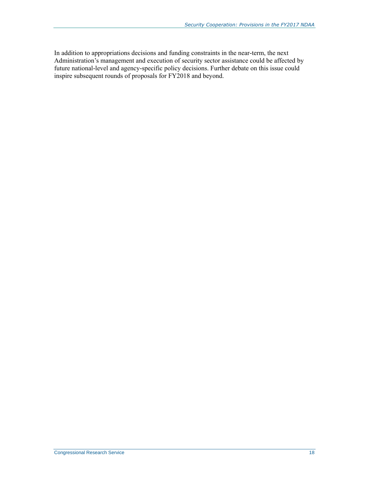In addition to appropriations decisions and funding constraints in the near-term, the next Administration's management and execution of security sector assistance could be affected by future national-level and agency-specific policy decisions. Further debate on this issue could inspire subsequent rounds of proposals for FY2018 and beyond.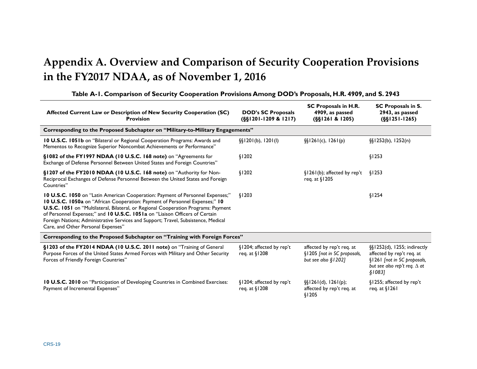## **Appendix A. Overview and Comparison of Security Cooperation Provisions in the FY2017 NDAA, as of November 1, 2016**

<span id="page-22-0"></span>

| Affected Current Law or Description of New Security Cooperation (SC)<br><b>Provision</b>                                                                                                                                                                                                                                                                                                                                                                       | <b>DOD's SC Proposals</b><br>$(S\S1201-1209 & 1217)$ | <b>SC Proposals in H.R.</b><br>4909, as passed<br>$(S\S1261 & 1205)$              | <b>SC Proposals in S.</b><br>2943, as passed<br>$(S\S1251-1265)$                                                                          |
|----------------------------------------------------------------------------------------------------------------------------------------------------------------------------------------------------------------------------------------------------------------------------------------------------------------------------------------------------------------------------------------------------------------------------------------------------------------|------------------------------------------------------|-----------------------------------------------------------------------------------|-------------------------------------------------------------------------------------------------------------------------------------------|
| Corresponding to the Proposed Subchapter on "Military-to-Military Engagements"                                                                                                                                                                                                                                                                                                                                                                                 |                                                      |                                                                                   |                                                                                                                                           |
| <b>10 U.S.C. 1051b</b> on "Bilateral or Regional Cooperation Programs: Awards and<br>Mementos to Recognize Superior Noncombat Achievements or Performance"                                                                                                                                                                                                                                                                                                     | $\S$ [1201(b), 1201(l)                               | $\S$ [26 $($ c), 126 $($ p)                                                       | $\S$ [1252(b), 1252(n)                                                                                                                    |
| §1082 of the FY1997 NDAA (10 U.S.C. 168 note) on "Agreements for<br>Exchange of Defense Personnel Between United States and Foreign Countries"                                                                                                                                                                                                                                                                                                                 | \$1202                                               |                                                                                   | §1253                                                                                                                                     |
| §1207 of the FY2010 NDAA (10 U.S.C. 168 note) on "Authority for Non-<br>Reciprocal Exchanges of Defense Personnel Between the United States and Foreign<br>Countries"                                                                                                                                                                                                                                                                                          | \$1202                                               | $\S1261(b)$ ; affected by rep't<br>reg. at §1205                                  | \$1253                                                                                                                                    |
| 10 U.S.C. 1050 on "Latin American Cooperation: Payment of Personnel Expenses;"<br>10 U.S.C. 1050a on "African Cooperation: Payment of Personnel Expenses;" 10<br>U.S.C. 1051 on "Multilateral, Bilateral, or Regional Cooperation Programs: Payment<br>of Personnel Expenses;" and 10 U.S.C. 1051a on "Liaison Officers of Certain<br>Foreign Nations; Administrative Services and Support; Travel, Subsistence, Medical<br>Care, and Other Personal Expenses" | \$1203                                               |                                                                                   | \$1254                                                                                                                                    |
| Corresponding to the Proposed Subchapter on "Training with Foreign Forces"                                                                                                                                                                                                                                                                                                                                                                                     |                                                      |                                                                                   |                                                                                                                                           |
| §1203 of the FY2014 NDAA (10 U.S.C. 2011 note) on "Training of General<br>Purpose Forces of the United States Armed Forces with Military and Other Security<br>Forces of Friendly Foreign Countries"                                                                                                                                                                                                                                                           | §1204; affected by rep't<br>reg. at §1208            | affected by rep't req. at<br>§1205 [not in SC proposals,<br>but see also $$1202]$ | §§1252(d), 1255; indirectly<br>affected by rep't req. at<br>§1261 [not in SC proposals,<br>but see also rep't req. $\Delta$ at<br>\$1083] |
| <b>10 U.S.C. 2010</b> on "Participation of Developing Countries in Combined Exercises:<br>Payment of Incremental Expenses"                                                                                                                                                                                                                                                                                                                                     | §1204; affected by rep't<br>req. at §1208            | $\{\S1261(d), 1261(p)\}$<br>affected by rep't req. at<br>\$1205                   | §1255; affected by rep't<br>req. at $\S1261$                                                                                              |

#### **Table A-1. Comparison of Security Cooperation Provisions Among DOD's Proposals[, H.R. 4909,](http://www.congress.gov/cgi-lis/bdquery/z?d114:H.R.4909:) and S. 2943**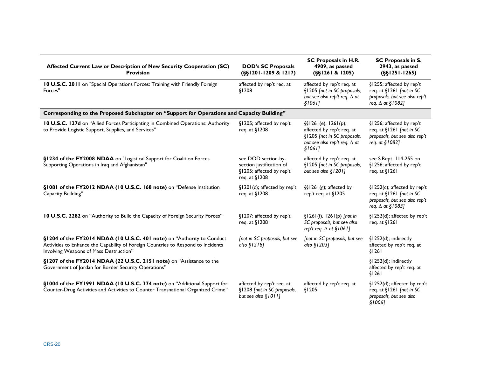| Affected Current Law or Description of New Security Cooperation (SC)<br><b>Provision</b>                                                                                                              | <b>DOD's SC Proposals</b>                                                                    | SC Proposals in H.R.<br>4909, as passed                                                                                              | <b>SC Proposals in S.</b><br>2943, as passed                                                                        |
|-------------------------------------------------------------------------------------------------------------------------------------------------------------------------------------------------------|----------------------------------------------------------------------------------------------|--------------------------------------------------------------------------------------------------------------------------------------|---------------------------------------------------------------------------------------------------------------------|
| 10 U.S.C. 2011 on "Special Operations Forces: Training with Friendly Foreign<br>Forces"                                                                                                               | $(S\S1201-1209 & 1217)$<br>affected by rep't req. at<br>\$1208                               | (SSI261 & 1205)<br>affected by rep't req. at<br>§1205 [not in SC proposals,                                                          | $(S\S1251-1265)$<br>§1255; affected by rep't<br>req. at §1261 [not in SC                                            |
|                                                                                                                                                                                                       |                                                                                              | but see also rep't req. $\Delta$ at<br>\$1061]                                                                                       | proposals, but see also rep't<br>req. $\Delta$ at §1082]                                                            |
| Corresponding to the Proposed Subchapter on "Support for Operations and Capacity Building"                                                                                                            |                                                                                              |                                                                                                                                      |                                                                                                                     |
| 10 U.S.C. 127d on "Allied Forces Participating in Combined Operations: Authority<br>to Provide Logistic Support, Supplies, and Services"                                                              | §1205; affected by rep't<br>req. at §1208                                                    | $\S$ [261(e), 1261(p);<br>affected by rep't req. at<br>§1205 [not in SC proposals,<br>but see also rep't req. $\Delta$ at<br>\$1061] | §1256; affected by rep't<br>req. at §1261 [not in SC<br>proposals, but see also rep't<br>req. at §1082]             |
| §1234 of the FY2008 NDAA on "Logistical Support for Coalition Forces<br>Supporting Operations in Iraq and Afghanistan"                                                                                | see DOD section-by-<br>section justification of<br>§1205; affected by rep't<br>req. at §1208 | affected by rep't req. at<br>§1205 [not in SC proposals,<br>but see also $$1201]$                                                    | see S.Rept. 114-255 on<br>§1256; affected by rep't<br>req. at $\S1261$                                              |
| §1081 of the FY2012 NDAA (10 U.S.C. 168 note) on "Defense Institution<br>Capacity Building"                                                                                                           | §1201(c); affected by rep't<br>req. at §1208                                                 | $\S$ [1261(g); affected by<br>rep't req. at §1205                                                                                    | §1252(c); affected by rep't<br>req. at §1261 [not in SC<br>proposals, but see also rep't<br>req. $\Delta$ at §1083] |
| 10 U.S.C. 2282 on "Authority to Build the Capacity of Foreign Security Forces"                                                                                                                        | §1207; affected by rep't<br>reg. at §1208                                                    | $$1261(f), 1261(p)$ [not in<br>SC proposals, but see also<br>rep't req. $\Delta$ at §1061]                                           | §1252(d); affected by rep't<br>req. at $\frac{1}{2}$ 1261                                                           |
| §1204 of the FY2014 NDAA (10 U.S.C. 401 note) on "Authority to Conduct<br>Activities to Enhance the Capability of Foreign Countries to Respond to Incidents<br>Involving Weapons of Mass Destruction" | [not in SC proposals, but see<br>also $$1218]$                                               | [not in SC proposals, but see<br>also §1203]                                                                                         | §1252(d); indirectly<br>affected by rep't req. at<br>\$1261                                                         |
| §1207 of the FY2014 NDAA (22 U.S.C. 2151 note) on "Assistance to the<br>Government of Jordan for Border Security Operations"                                                                          |                                                                                              |                                                                                                                                      | §1252(d); indirectly<br>affected by rep't req. at<br>\$1261                                                         |
| §1004 of the FY1991 NDAA (10 U.S.C. 374 note) on "Additional Support for<br>Counter-Drug Activities and Activities to Counter Transnational Organized Crime"                                          | affected by rep't req. at<br>§1208 [not in SC proposals,<br>but see also §1011]              | affected by rep't req. at<br>\$1205                                                                                                  | §1252(d); affected by rep't<br>req. at §1261 [not in SC<br>proposals, but see also<br>\$1006]                       |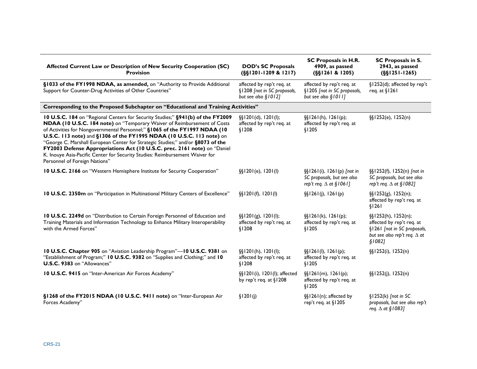| Affected Current Law or Description of New Security Cooperation (SC)<br><b>Provision</b>                                                                                                                                                                                                                                                                                                                                                                                                                                                                                                           | <b>DOD's SC Proposals</b><br>$(S\S1201-1209 & 1217)$                              | SC Proposals in H.R.<br>4909, as passed<br>(SSI261 & 1205)                                    | SC Proposals in S.<br>2943, as passed<br>$(S\S1251-1265)$                                                                             |
|----------------------------------------------------------------------------------------------------------------------------------------------------------------------------------------------------------------------------------------------------------------------------------------------------------------------------------------------------------------------------------------------------------------------------------------------------------------------------------------------------------------------------------------------------------------------------------------------------|-----------------------------------------------------------------------------------|-----------------------------------------------------------------------------------------------|---------------------------------------------------------------------------------------------------------------------------------------|
| §1033 of the FY1998 NDAA, as amended, on "Authority to Provide Additional<br>Support for Counter-Drug Activities of Other Countries"                                                                                                                                                                                                                                                                                                                                                                                                                                                               | affected by rep't req. at<br>§1208 [not in SC proposals,<br>but see also $$1012]$ | affected by rep't req. at<br>§1205 [not in SC proposals,<br>but see also §1011]               | §1252(d); affected by rep't<br>req. at §1261                                                                                          |
| Corresponding to the Proposed Subchapter on "Educational and Training Activities"                                                                                                                                                                                                                                                                                                                                                                                                                                                                                                                  |                                                                                   |                                                                                               |                                                                                                                                       |
| 10 U.S.C. 184 on "Regional Centers for Security Studies;" §941(b) of the FY2009<br>NDAA (10 U.S.C. 184 note) on "Temporary Waiver of Reimbursement of Costs<br>of Activities for Nongovernmental Personnel;" §1065 of the FY1997 NDAA (10<br>U.S.C. 113 note) and §1306 of the FY1995 NDAA (10 U.S.C. 113 note) on<br>"George C. Marshall European Center for Strategic Studies;" and/or §8073 of the<br>FY2003 Defense Appropriations Act (10 U.S.C. prec. 2161 note) on "Daniel<br>K. Inouye Asia-Pacific Center for Security Studies: Reimbursement Waiver for<br>Personnel of Foreign Nations" | $\S$ [1201(d), 1201(l);<br>affected by rep't req. at<br>\$1208                    | $\S$ [1261(h), 1261(p);<br>affected by rep't req. at<br>\$1205                                | §§1252(e), 1252(n)                                                                                                                    |
| 10 U.S.C. 2166 on "Western Hemisphere Institute for Security Cooperation"                                                                                                                                                                                                                                                                                                                                                                                                                                                                                                                          | $\S$ [201(e), 1201(l)                                                             | $\S$ [1261(i), 1261(p) [not in<br>SC proposals, but see also<br>rep't req. $\Delta$ at §1061] | §§1252(f), 1252(n) [not in<br>SC proposals, but see also<br>rep't req. $\Delta$ at §1082]                                             |
| 10 U.S.C. 2350m on "Participation in Multinational Military Centers of Excellence"                                                                                                                                                                                                                                                                                                                                                                                                                                                                                                                 | $\S$ [201(f), 1201(l)                                                             | $\S(1261(j), 1261(p))$                                                                        | $\S$ [252(g), 1252(n);<br>affected by rep't req. at<br>\$1261                                                                         |
| 10 U.S.C. 2249d on "Distribution to Certain Foreign Personnel of Education and<br>Training Materials and Information Technology to Enhance Military Interoperability<br>with the Armed Forces"                                                                                                                                                                                                                                                                                                                                                                                                     | $\S$ [201(g), 1201(l);<br>affected by rep't req. at<br>\$1208                     | $\S$ [1261(k), 1261(p);<br>affected by rep't req. at<br>\$1205                                | $\S$ [1252(h), 1252(n);<br>affected by rep't req. at<br>§1261 [not in SC proposals,<br>but see also rep't req. $\Delta$ at<br>\$1082] |
| 10 U.S.C. Chapter 905 on "Aviation Leadership Program"-10 U.S.C. 9381 on<br>"Establishment of Program;" 10 U.S.C. 9382 on "Supplies and Clothing;" and 10<br>U.S.C. 9383 on "Allowances"                                                                                                                                                                                                                                                                                                                                                                                                           | $\{\xi   201(h), 1201(l)\}\$<br>affected by rep't req. at<br>\$1208               | $\{\S1261(l), 1261(p)\}$<br>affected by rep't req. at<br>\$1205                               | $\S$ [1252(i), 1252(n)                                                                                                                |
| 10 U.S.C. 9415 on "Inter-American Air Forces Academy"                                                                                                                                                                                                                                                                                                                                                                                                                                                                                                                                              | §§1201(i), 1201(l); affected<br>by rep't req. at §1208                            | $\S$ [261(m), 1261(p);<br>affected by rep't req. at<br>\$1205                                 | $\S$ [1252(j), 1252(n)                                                                                                                |
| §1268 of the FY2015 NDAA (10 U.S.C. 9411 note) on "Inter-European Air<br>Forces Academy"                                                                                                                                                                                                                                                                                                                                                                                                                                                                                                           | \$1201(j)                                                                         | §§1261(n); affected by<br>rep't req. at §1205                                                 | $$1252(k)$ [not in SC<br>proposals, but see also rep't<br>req. $\Delta$ at §1083]                                                     |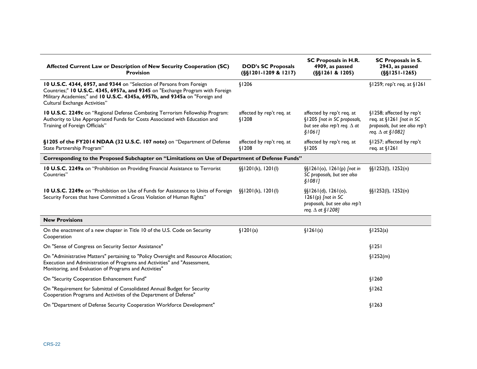| Affected Current Law or Description of New Security Cooperation (SC)<br><b>Provision</b>                                                                                                                                                                             | <b>DOD's SC Proposals</b><br>$(S\S1201-1209 & 1217)$ | SC Proposals in H.R.<br>4909, as passed<br>$(S\S1261 & 1205)$                                              | SC Proposals in S.<br>2943, as passed<br>$(S$1251-1265)$                                                         |
|----------------------------------------------------------------------------------------------------------------------------------------------------------------------------------------------------------------------------------------------------------------------|------------------------------------------------------|------------------------------------------------------------------------------------------------------------|------------------------------------------------------------------------------------------------------------------|
| 10 U.S.C. 4344, 6957, and 9344 on "Selection of Persons from Foreign<br>Countries;" 10 U.S.C. 4345, 6957a, and 9345 on "Exchange Program with Foreign<br>Military Academies;" and 10 U.S.C. 4345a, 6957b, and 9345a on "Foreign and<br>Cultural Exchange Activities" | \$1206                                               |                                                                                                            | §1259; rep't req. at §1261                                                                                       |
| 10 U.S.C. 2249c on "Regional Defense Combating Terrorism Fellowship Program:<br>Authority to Use Appropriated Funds for Costs Associated with Education and<br>Training of Foreign Officials"                                                                        | affected by rep't req. at<br>\$1208                  | affected by rep't req. at<br>§1205 [not in SC proposals,<br>but see also rep't req. $\Delta$ at<br>\$1061] | §1258; affected by rep't<br>req. at §1261 [not in SC<br>proposals, but see also rep't<br>req. $\Delta$ at §1082] |
| §1205 of the FY2014 NDAA (32 U.S.C. 107 note) on "Department of Defense<br>State Partnership Program"                                                                                                                                                                | affected by rep't req. at<br>\$1208                  | affected by rep't req. at<br>\$1205                                                                        | §1257; affected by rep't<br>req. at $\lvert 26l \rvert$                                                          |
| Corresponding to the Proposed Subchapter on "Limitations on Use of Department of Defense Funds"                                                                                                                                                                      |                                                      |                                                                                                            |                                                                                                                  |
| 10 U.S.C. 2249a on "Prohibition on Providing Financial Assistance to Terrorist<br>Countries"                                                                                                                                                                         | $\S$ [1201(k), 1201(l)                               | §§1261(o), 1261(p) [not in<br>SC proposals, but see also<br>\$1081]                                        | $\S(1252(1), 1252(n))$                                                                                           |
| 10 U.S.C. 2249e on "Prohibition on Use of Funds for Assistance to Units of Foreign<br>Security Forces that have Committed a Gross Violation of Human Rights"                                                                                                         | $\S$ [1201(k), 1201(l)                               | $\S$ [261(d), 1261(o),<br>$1261(p)$ [not in SC<br>proposals, but see also rep't<br>req. $\Delta$ at §1208] | $\S$ [1252(l), 1252(n)                                                                                           |
| <b>New Provisions</b>                                                                                                                                                                                                                                                |                                                      |                                                                                                            |                                                                                                                  |
| On the enactment of a new chapter in Title 10 of the U.S. Code on Security<br>Cooperation                                                                                                                                                                            | \$1201(a)                                            | \$1261(a)                                                                                                  | \$1252(a)                                                                                                        |
| On "Sense of Congress on Security Sector Assistance"                                                                                                                                                                                                                 |                                                      |                                                                                                            | \$1251                                                                                                           |
| On "Administrative Matters" pertaining to "Policy Oversight and Resource Allocation;<br>Execution and Administration of Programs and Activities" and "Assessment,<br>Monitoring, and Evaluation of Programs and Activities"                                          |                                                      |                                                                                                            | \$1252(m)                                                                                                        |
| On "Security Cooperation Enhancement Fund"                                                                                                                                                                                                                           |                                                      |                                                                                                            | \$1260                                                                                                           |
| On "Requirement for Submittal of Consolidated Annual Budget for Security<br>Cooperation Programs and Activities of the Department of Defense"                                                                                                                        |                                                      |                                                                                                            | \$1262                                                                                                           |
| On "Department of Defense Security Cooperation Workforce Development"                                                                                                                                                                                                |                                                      |                                                                                                            | \$1263                                                                                                           |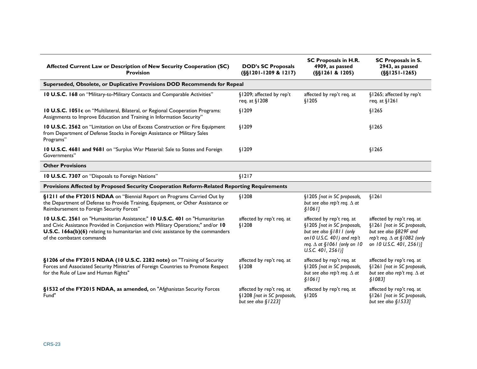| Affected Current Law or Description of New Security Cooperation (SC)<br><b>Provision</b>                                                                                                                                                                                           | <b>DOD's SC Proposals</b><br>$(S\S1201-1209 \& 1217)$                             | SC Proposals in H.R.<br>4909, as passed<br>(SSI261 & 1205)                                                                                                                        | SC Proposals in S.<br>2943, as passed<br>$(S\S1251-1265)$                                                                                            |
|------------------------------------------------------------------------------------------------------------------------------------------------------------------------------------------------------------------------------------------------------------------------------------|-----------------------------------------------------------------------------------|-----------------------------------------------------------------------------------------------------------------------------------------------------------------------------------|------------------------------------------------------------------------------------------------------------------------------------------------------|
| Superseded, Obsolete, or Duplicative Provisions DOD Recommends for Repeal                                                                                                                                                                                                          |                                                                                   |                                                                                                                                                                                   |                                                                                                                                                      |
| 10 U.S.C. 168 on "Military-to-Military Contacts and Comparable Activities"                                                                                                                                                                                                         | §1209; affected by rep't<br>req. at §1208                                         | affected by rep't req. at<br>\$1205                                                                                                                                               | §1265; affected by rep't<br>req. at §1261                                                                                                            |
| 10 U.S.C. 1051c on "Multilateral, Bilateral, or Regional Cooperation Programs:<br>Assignments to Improve Education and Training in Information Security"                                                                                                                           | \$1209                                                                            |                                                                                                                                                                                   | \$1265                                                                                                                                               |
| 10 U.S.C. 2562 on "Limitation on Use of Excess Construction or Fire Equipment<br>from Department of Defense Stocks in Foreign Assistance or Military Sales<br>Programs"                                                                                                            | \$1209                                                                            |                                                                                                                                                                                   | \$1265                                                                                                                                               |
| 10 U.S.C. 4681 and 9681 on "Surplus War Material: Sale to States and Foreign<br>Governments"                                                                                                                                                                                       | \$1209                                                                            |                                                                                                                                                                                   | \$1265                                                                                                                                               |
| <b>Other Provisions</b>                                                                                                                                                                                                                                                            |                                                                                   |                                                                                                                                                                                   |                                                                                                                                                      |
| 10 U.S.C. 7307 on "Disposals to Foreign Nations"                                                                                                                                                                                                                                   | \$1217                                                                            |                                                                                                                                                                                   |                                                                                                                                                      |
| Provisions Affected by Proposed Security Cooperation Reform-Related Reporting Requirements                                                                                                                                                                                         |                                                                                   |                                                                                                                                                                                   |                                                                                                                                                      |
| §1211 of the FY2015 NDAA on "Biennial Report on Programs Carried Out by<br>the Department of Defense to Provide Training, Equipment, or Other Assistance or<br>Reimbursement to Foreign Security Forces"                                                                           | \$1208                                                                            | §1205 [not in SC proposals,<br>but see also rep't req. $\Delta$ at<br>\$1061]                                                                                                     | \$1261                                                                                                                                               |
| 10 U.S.C. 2561 on "Humanitarian Assistance;" 10 U.S.C. 401 on "Humanitarian<br>and Civic Assistance Provided in Conjunction with Military Operations;" and/or 10<br>U.S.C. 166a(b)(6) relating to humanitarian and civic assistance by the commanders<br>of the combatant commands | affected by rep't req. at<br>\$1208                                               | affected by rep't req. at<br>§1205 [not in SC proposals,<br>but see also §1811 (only<br>on 10 U.S.C. 401) and rep't<br>req. $\Delta$ at §1061 (only on 10<br>U.S.C. $401, 2561$ ] | affected by rep't req. at<br>§1261 [not in SC proposals,<br>but see also §829F and<br>rep't req. $\Delta$ at §1082 (only<br>on 10 U.S.C. 401, 2561)] |
| §1206 of the FY2015 NDAA (10 U.S.C. 2282 note) on "Training of Security<br>Forces and Associated Security Ministries of Foreign Countries to Promote Respect<br>for the Rule of Law and Human Rights"                                                                              | affected by rep't req. at<br>\$1208                                               | affected by rep't req. at<br>§1205 [not in SC proposals,<br>but see also rep't req. $\Delta$ at<br>\$1061]                                                                        | affected by rep't req. at<br>§1261 [not in SC proposals,<br>but see also rep't req. $\Delta$ at<br>\$1083]                                           |
| §1532 of the FY2015 NDAA, as amended, on "Afghanistan Security Forces<br>Fund"                                                                                                                                                                                                     | affected by rep't req. at<br>§1208 [not in SC proposals,<br>but see also $$1223]$ | affected by rep't req. at<br>\$1205                                                                                                                                               | affected by rep't req. at<br>§1261 [not in SC proposals,<br>but see also §1533]                                                                      |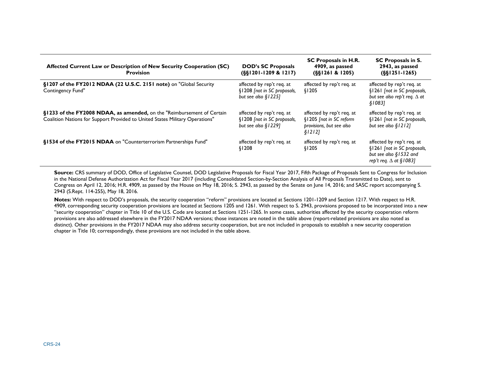| Affected Current Law or Description of New Security Cooperation (SC)<br><b>Provision</b>                                                               | <b>DOD's SC Proposals</b><br>$(S81201-1209 & 1217)$                               | SC Proposals in H.R.<br>4909, as passed<br>(S81261 & 1205)                                  | <b>SC Proposals in S.</b><br>2943, as passed<br>$(681251 - 1265)$                                                      |
|--------------------------------------------------------------------------------------------------------------------------------------------------------|-----------------------------------------------------------------------------------|---------------------------------------------------------------------------------------------|------------------------------------------------------------------------------------------------------------------------|
| §1207 of the FY2012 NDAA (22 U.S.C. 2151 note) on "Global Security<br>Contingency Fund"                                                                | affected by rep't req. at<br>§1208 [not in SC proposals,<br>but see also $$1225]$ | affected by rep't req. at<br>\$1205                                                         | affected by rep't reg. at<br>§1261 [not in SC proposals,<br>but see also rep't req. $\Delta$ at<br>§10831              |
| §1233 of the FY2008 NDAA, as amended, on the "Reimbursement of Certain<br>Coalition Nations for Support Provided to United States Military Operations" | affected by rep't req. at<br>§1208 [not in SC proposals,<br>but see also $$1229]$ | affected by rep't reg. at<br>§1205 [not in SC reform<br>provisions, but see also<br>\$1212] | affected by rep't req. at<br>§1261 [not in SC proposals,<br>but see also $$1212]$                                      |
| §1534 of the FY2015 NDAA on "Counterterrorism Partnerships Fund"                                                                                       | affected by rep't req. at<br>§1208                                                | affected by rep't req. at<br>\$1205                                                         | affected by rep't req. at<br>§1261 [not in SC proposals,<br>but see also $§$ 1532 and<br>rep't req. $\Delta$ at §1083] |

**Source:** CRS summary of DOD, Office of Legislative Counsel, DOD Legislative Proposals for Fiscal Year 2017, Fifth Package of Proposals Sent to Congress for Inclusion in the National Defense Authorization Act for Fiscal Year 2017 (including Consolidated Section-by-Section Analysis of All Proposals Transmitted to Date), sent to Congress on April 12, 2016; H.R. 4909, as passed by the House on May 18, 2016; [S. 2943,](http://www.congress.gov/cgi-lis/bdquery/z?d114:S.2943:) as passed by the Senate on June 14, 2016; and SASC report accompanying S. 2943 [\(S.Rept. 114-255\)](http://www.congress.gov/cgi-lis/cpquery/R?cp114:FLD010:@1(sr255):), May 18, 2016.

**Notes:** With respect to DOD's proposals, the security cooperation "reform" provisions are located at Sections 1201-1209 and Section 1217. With respect to H.R. 4909, corresponding security cooperation provisions are located at Sections 1205 and 1261. With respect to [S. 2943,](http://www.congress.gov/cgi-lis/bdquery/z?d114:S.2943:) provisions proposed to be incorporated into a new "security cooperation" chapter in Title 10 of the U.S. Code are located at Sections 1251-1265. In some cases, authorities affected by the security cooperation reform provisions are also addressed elsewhere in the FY2017 NDAA versions; those instances are noted in the table above (report-related provisions are also noted as distinct). Other provisions in the FY2017 NDAA may also address security cooperation, but are not included in proposals to establish a new security cooperation chapter in Title 10; correspondingly, these provisions are not included in the table above.